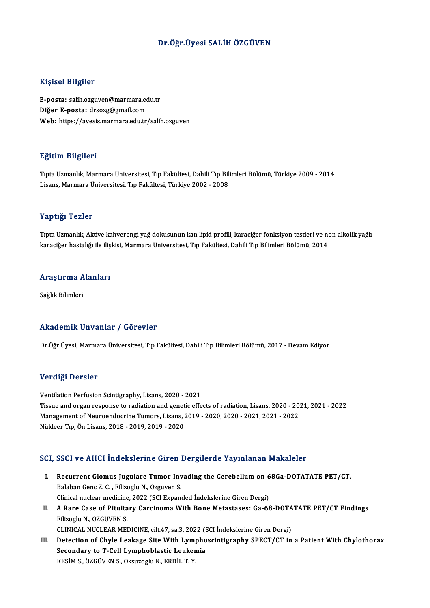#### Dr.Öğr.Üyesi SALİHÖZGÜVEN

#### Kişisel Bilgiler

Kişisel Bilgiler<br>E-posta: salih.ozguven@marmara.edu.tr<br>Diğer E nesta: drsezz@amail.com 11191001 D1191101<br>E-posta: salih.ozguven@marmara.ec<br>Diğer E-posta: drsozg@gmail.com<br>Web: https://avesis.marmara.edu.tr Diğer E-posta: drsozg@gmail.com<br>Web: https://avesis.marmara.edu.tr/salih.ozguven

#### Eğitim Bilgileri

TıptaUzmanlık,MarmaraÜniversitesi,Tıp Fakültesi,DahiliTıpBilimleriBölümü,Türkiye 2009 -2014 Lisans,MarmaraÜniversitesi,Tıp Fakültesi,Türkiye 2002 -2008

#### Yaptığı Tezler

Tıpta Uzmanlık, Aktive kahverengi yağ dokusunun kan lipid profili, karaciğer fonksiyon testleri ve non alkolik yağlı karaciğer hastalığı ile ilişkisi, Marmara Üniversitesi, Tıp Fakültesi, Dahili Tıp Bilimleri Bölümü, 2014

# karacıger nastalığı ile iliş<br>Araştırma Alanları <mark>Araştırma A</mark><br>Sağlık Bilimleri

# Akademik Unvanlar / Görevler

Dr.Öğr.Üyesi, Marmara Üniversitesi, Tıp Fakültesi, Dahili Tıp Bilimleri Bölümü, 2017 - Devam Ediyor

#### Verdiği Dersler

Ventilation Perfusion Scintigraphy, Lisans, 2020 - 2021 Vertrigt Derbier<br>Ventilation Perfusion Scintigraphy, Lisans, 2020 - 2021<br>Tissue and organ response to radiation and genetic effects of radiation, Lisans, 2020 - 2021, 2021 - 2022<br>Managament of Neuroandogring Tumors, Lisans Ventilation Perfusion Scintigraphy, Lisans, 2020 - 2021<br>Tissue and organ response to radiation and genetic effects of radiation, Lisans, 2020 - 20<br>Management of Neuroendocrine Tumors, Lisans, 2019 - 2020, 2020 - 2021, 2021 Tissue and organ response to radiation and genet<br>Management of Neuroendocrine Tumors, Lisans, ,<br>Nükleer Tıp, Ön Lisans, 2018 - 2019, 2019 - 2020

# Nükleer Tıp, Ön Lisans, 2018 - 2019, 2019 - 2020<br>SCI, SSCI ve AHCI İndekslerine Giren Dergilerde Yayınlanan Makaleler

- CI, SSCI ve AHCI İndekslerine Giren Dergilerde Yayınlanan Makaleler<br>I. Recurrent Glomus Jugulare Tumor Invading the Cerebellum on 68Ga-DOTATATE PET/CT.<br>Ralaban Cana 7. C. Eilineslu N. Ozguvan S. Balaban Genc Z. C. , Filizoglu N., Ozguven S.<br>Clinical nuclear medicine, 2022 (SCI Expanded Indekslerine Giren Dergi) Recurrent Glomus Jugulare Tumor Invading the Cerebellum on 6<br>Balaban Genc Z. C. , Filizoglu N., Ozguven S.<br>Clinical nuclear medicine, 2022 (SCI Expanded İndekslerine Giren Dergi)<br>A Bare Case of Bituitary Carginoma With Bon Balaban Genc Z. C. , Filizoglu N., Ozguven S.<br>Clinical nuclear medicine, 2022 (SCI Expanded Indekslerine Giren Dergi)<br>II. A Rare Case of Pituitary Carcinoma With Bone Metastases: Ga-68-DOTATATE PET/CT Findings<br>Filizogly N.
- Clinical nuclear medicine<br>**A Rare Case of Pituita**<br>Filizoglu N., ÖZGÜVEN S.<br>CLINICAL NUCLEAP MEL A Rare Case of Pituitary Carcinoma With Bone Metastases: Ga-68-DOTA<br>Filizoglu N., ÖZGÜVEN S.<br>CLINICAL NUCLEAR MEDICINE, cilt.47, sa.3, 2022 (SCI İndekslerine Giren Dergi)<br>Detection of Chyle Leeksee Site With Lymphoegintisr
- Filizoglu N., ÖZGÜVEN S.<br>CLINICAL NUCLEAR MEDICINE, cilt.47, sa.3, 2022 (SCI İndekslerine Giren Dergi)<br>III. Detection of Chyle Leakage Site With Lymphoscintigraphy SPECT/CT in a Patient With Chylothorax<br>Secondory to T.Coll CLINICAL NUCLEAR MEDICINE, cilt.47, sa.3, 2022 (S. Detection of Chyle Leakage Site With Lymphoblastic Leukemia<br>Secondary to T-Cell Lymphoblastic Leukemia Detection of Chyle Leakage Site With Lym<sub>l</sub><br>Secondary to T-Cell Lymphoblastic Leuker<br>KESİM S., ÖZGÜVEN S., Oksuzoglu K., ERDİL T. Y.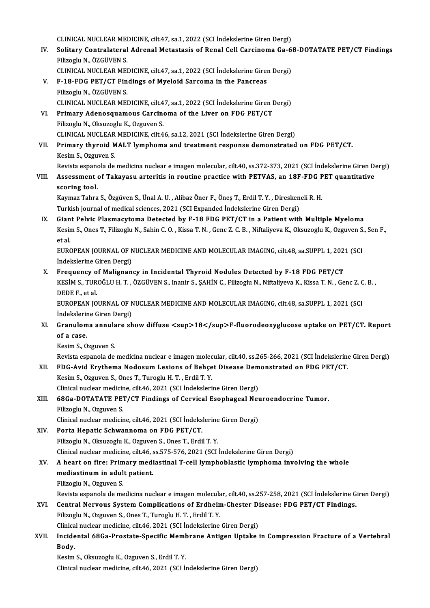CLINICAL NUCLEAR MEDICINE, cilt.47, sa.1, 2022 (SCI İndekslerine Giren Dergi)<br>Selitery Contralatoral Adranal Matestasis of Bonal Cell Consinema Co. 6

CLINICAL NUCLEAR MEDICINE, cilt.47, sa.1, 2022 (SCI İndekslerine Giren Dergi)<br>IV. Solitary Contralateral Adrenal Metastasis of Renal Cell Carcinoma Ga-68-DOTATATE PET/CT Findings<br>Filipogly N. ÖZCÜVEN S CLINICAL NUCLEAR MEI<br>Solitary Contralateral<br>Filizoglu N., ÖZGÜVEN S.<br>CLINICAL NUCLEAR MEI Solitary Contralateral Adrenal Metastasis of Renal Cell Carcinoma Ga-6<br>Filizoglu N., ÖZGÜVEN S.<br>CLINICAL NUCLEAR MEDICINE, cilt.47, sa.1, 2022 (SCI İndekslerine Giren Dergi)<br>E 18 EDC PET/CT Eindings of Muslaid Sarsama in t

```
CLINICAL NUCLEAR MEDICINE, cilt.47, sa.1, 2022 (SCI İndekslerine Giren Dergi)
```
- Filizoglu N., ÖZGÜVEN S.<br>CLINICAL NUCLEAR MEDICINE, cilt.47, sa.1, 2022 (SCI İndekslerine Gires<br>V. F-18-FDG PET/CT Findings of Myeloid Sarcoma in the Pancreas<br>Filizoglu N., ÖZGÜVEN S. F-18-FDG PET/CT Findings of Myeloid Sarcoma in the Pancreas<br>Filizoglu N., ÖZGÜVEN S.<br>CLINICAL NUCLEAR MEDICINE, cilt.47, sa.1, 2022 (SCI İndekslerine Giren Dergi)<br>Primary Adenoscuamous Carsinoma of the Liver on EDC PET/CT
- VI. Primary Adenosquamous Carcinoma of the Liver on FDG PET/CT<br>Filizoglu N., Oksuzoglu K., Ozguven S. CLINICAL NUCLEAR MEDICINE, cilt.4<br>Primary Adenosquamous Carcine<br>Filizoglu N., Oksuzoglu K., Ozguven S.<br>CLINICAL NUCLEAR MEDICINE, cilt.4 CLINICAL NUCLEAR MEDICINE, cilt.46, sa.12, 2021 (SCI İndekslerine Giren Dergi)
- Filizoglu N., Oksuzoglu K., Ozguven S.<br>CLINICAL NUCLEAR MEDICINE, cilt.46, sa.12, 2021 (SCI İndekslerine Giren Dergi)<br>VII. Primary thyroid MALT lymphoma and treatment response demonstrated on FDG PET/CT.<br>Kosim S. Ozguven S CLINICAL NUCLEAR<br>Primary thyroid M<br>Kesim S., Ozguven S.<br>Bovista sananala da Primary thyroid MALT lymphoma and treatment response demonstrated on FDG PET/CT.<br>Kesim S., Ozguven S.<br>Revista espanola de medicina nuclear e imagen molecular, cilt.40, ss.372-373, 2021 (SCI İndekslerine Giren Dergi)<br>Assess Kesim S., Ozguven S.<br>Revista espanola de medicina nuclear e imagen molecular, cilt.40, ss.372-373, 2021 (SCI İndekslerine Giren D.<br>VIII. Assessment of Takayasu arteritis in routine practice with PETVAS, an 18F-FDG PET

## Revista espano<br>Assessment<br>scoring tool.<br>Kaymar Tahra Assessment of Takayasu arteritis in routine practice with PETVAS, an 18F-FDG P<br>scoring tool.<br>Kaymaz Tahra S., Özgüven S., Ünal A.U. , Alibaz Öner F., Öneş T., Erdil T. Y. , Direskeneli R. H.<br>Turkish journal of modisel scie

scoring tool.<br>Kaymaz Tahra S., Özgüven S., Ünal A. U. , Alibaz Öner F., Öneş T., Erdil T. Y. , Direskeneli R. H.<br>Turkish journal of medical sciences, 2021 (SCI Expanded İndekslerine Giren Dergi)

IX. Giant Pelvic Plasmacytoma Detected by F-18 FDG PET/CT in a Patient with Multiple Myeloma Turkish journal of medical sciences, 2021 (SCI Expanded İndekslerine Giren Dergi)<br>Giant Pelvic Plasmacytoma Detected by F-18 FDG PET/CT in a Patient with Multiple Myeloma<br>Kesim S., Ones T., Filizoglu N., Sahin C. O. , Kiss **Gian<br>Kesir<br>et al.**<br>EUP*C* Kesim S., Ones T., Filizoglu N., Sahin C. O. , Kissa T. N. , Genc Z. C. B. , Niftaliyeva K., Oksuzoglu K., Ozguven S.<br>et al.<br>EUROPEAN JOURNAL OF NUCLEAR MEDICINE AND MOLECULAR IMAGING, cilt.48, sa.SUPPL 1, 2021 (SCI

et al.<br>EUROPEAN JOURNAL OF NUCLEAR MEDICINE AND MOLECULAR IMAGING, cilt.48, sa.SUPPL 1, 2021 (SCI<br>İndekslerine Giren Dergi) EUROPEAN JOURNAL OF NUCLEAR MEDICINE AND MOLECULAR IMAGING, cit.48, sa.SUPPL 1, 202<br>indekslerine Giren Dergi)<br>X. Frequency of Malignancy in Incidental Thyroid Nodules Detected by F-18 FDG PET/CT<br>KESIM S. TUROČLILH T. ÖZCÜV

İndekslerine Giren Dergi)<br>Frequency of Malignancy in Incidental Thyroid Nodules Detected by F-18 FDG PET/CT<br>KESİM S., TUROĞLU H. T. , ÖZGÜVEN S., Inanir S., ŞAHİN C., Filizoglu N., Niftaliyeva K., Kissa T. N. , Genc Z. C. Frequency o<br>KESIM S., TUR<br>DEDE F., et al.<br>EUROPEAN IO KESİM S., TUROĞLU H. T. , ÖZGÜVEN S., Inanir S., ŞAHİN C., Filizoglu N., Niftaliyeva K., Kissa T. N. , Genc Z. C<br>DEDE F., et al.<br>EUROPEAN JOURNAL OF NUCLEAR MEDICINE AND MOLECULAR IMAGING, cilt.48, sa.SUPPL 1, 2021 (SCI<br>İn

DEDE F., et al.<br>EUROPEAN JOURNAL OF NUCLEAR MEDICINE AND MOLECULAR IMAGING, cilt.48, sa.SUPPL 1, 2021 (SCI<br>İndekslerine Giren Dergi) EUROPEAN JOURNAL OF NUCLEAR MEDICINE AND MOLECULAR IMAGING, cilt.48, sa.SUPPL 1, 2021 (SCI<br>İndekslerine Giren Dergi)<br>XI. Granuloma annulare show diffuse <sup>18</sup>F-fluorodeoxyglucose uptake on PET/CT. Report<br>of a sase

### Indekslerir<br>Granulom<br>of a case.<br>Kesim S. O Granuloma annula<br>of a case.<br>Kesim S., Ozguven S.<br>Bovista espanela de of a case.<br>Kesim S., Ozguven S.<br>Revista espanola de medicina nuclear e imagen molecular, cilt.40, ss.265-266, 2021 (SCI İndekslerine Giren Dergi)

Kesim S., Ozguven S.<br>Revista espanola de medicina nuclear e imagen molecular, cilt.40, ss.265-266, 2021 (SCI İndekslerine<br>XII. FDG-Avid Erythema Nodosum Lesions of Behçet Disease Demonstrated on FDG PET/CT.<br>Kesim S. Ozguve

Revista espanola de medicina nuclear e imagen molec<br>FDG-Avid Erythema Nodosum Lesions of Behçe<br>Kesim S., Ozguven S., Ones T., Turoglu H.T. , Erdil T. Y.<br>Clinical nuclear medicine, cilt 46, 2021 (SCI indeksleri FDG-Avid Erythema Nodosum Lesions of Behçet Disease Dem<br>Kesim S., Ozguven S., Ones T., Turoglu H. T. , Erdil T. Y.<br>Clinical nuclear medicine, cilt.46, 2021 (SCI İndekslerine Giren Dergi)<br>68Ca DOTATATE PET/CT Eindings of Ca Kesim S., Ozguven S., Ones T., Turoglu H. T. , Erdil T. Y.<br>Clinical nuclear medicine, cilt.46, 2021 (SCI İndekslerine Giren Dergi)<br>XIII. 68Ga-DOTATATE PET/CT Findings of Cervical Esophageal Neuroendocrine Tumor.

## Clinical nuclear medicine, cilt.46, 2021 (SCI İndekslerine Giren Dergi)<br>68Ga-DOTATATE PET/CT Findings of Cervical Esophageal Net<br>Filizoglu N., Ozguven S.<br>Clinical nuclear medicine, cilt.46, 2021 (SCI İndekslerine Giren Der 68Ga-DOTATATE PET/CT Findings of Cervical Esophageal Neu<br>Filizoglu N., Ozguven S.<br>Clinical nuclear medicine, cilt.46, 2021 (SCI İndekslerine Giren Dergi)<br>Perta Henatis Schwannoma on EDC PET/CT

XIV. Porta Hepatic Schwannoma on FDG PET/CT. FilizogluN.,OksuzogluK.,OzguvenS.,OnesT.,ErdilT.Y. Clinical nuclear medicine, cilt.46, ss.575-576, 2021 (SCI İndekslerine Giren Dergi)

### XV. A heart on fire: Primary mediastinal T-cell lymphoblastic lymphoma involving the whole Clinical nuclear medicine, cilt.46, s<br>A heart on fire: Primary medi<br>mediastinum in adult patient. A heart on fire: Prim<br>mediastinum in adul<br>Filizoglu N., Ozguven S.<br>Povista cananala da ma mediastinum in adult patient.<br>Filizoglu N., Ozguven S.<br>Revista espanola de medicina nuclear e imagen molecular, cilt.40, ss.257-258, 2021 (SCI İndekslerine Giren Dergi)<br>Contral Newseys System Complications of Erdheim Chest

Filizoglu N., Ozguven S.<br>Revista espanola de medicina nuclear e imagen molecular, cilt.40, ss.257-258, 2021 (SCI İndekslerine Gi<br>XVI. Central Nervous System Complications of Erdheim-Chester Disease: FDG PET/CT Findings.<br>Fi Revista espanola de medicina nuclear e imagen molecula<br>Central Nervous System Complications of Erdhein<br>Filizoglu N., Ozguven S., Ones T., Turoglu H. T. , Erdil T. Y.<br>Clinical nuclear medicine, cilt 46, 2021 (SSL Indeksleri Central Nervous System Complications of Erdheim-Chester Di<br>Filizoglu N., Ozguven S., Ones T., Turoglu H. T. , Erdil T. Y.<br>Clinical nuclear medicine, cilt.46, 2021 (SCI İndekslerine Giren Dergi)<br>Ingidantal 68Ga Prastata Spe Filizoglu N., Ozguven S., Ones T., Turoglu H. T. , Erdil T. Y.<br>Clinical nuclear medicine, cilt.46, 2021 (SCI İndekslerine Giren Dergi)<br>XVII. Incidental 68Ga-Prostate-Specific Membrane Antigen Uptake in Compression Frac

## Clinica<br>Incide<br>Body. Incidental 68Ga-Prostate-Specific Meml<br>Body.<br>Kesim S., Oksuzoglu K., Ozguven S., Erdil T. Y.<br>Clinical puclear modicine, silt 46, 2021 (SCL).

B**ody.**<br>Kesim S., Oksuzoglu K., Ozguven S., Erdil T. Y.<br>Clinical nuclear medicine, cilt.46, 2021 (SCI İndekslerine Giren Dergi)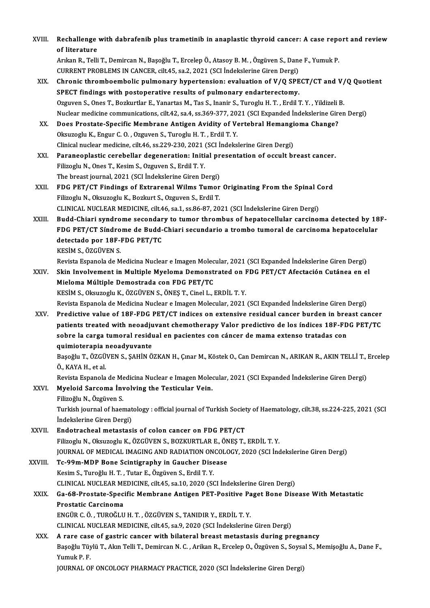| XVIII.        | Rechallenge with dabrafenib plus trametinib in anaplastic thyroid cancer: A case report and review<br>of literature   |
|---------------|-----------------------------------------------------------------------------------------------------------------------|
|               | Arıkan R., Telli T., Demircan N., Başoğlu T., Ercelep Ö., Atasoy B. M., Özgüven S., Dane F., Yumuk P.                 |
|               | CURRENT PROBLEMS IN CANCER, cilt.45, sa.2, 2021 (SCI Indekslerine Giren Dergi)                                        |
| XIX.          | Chronic thromboembolic pulmonary hypertension: evaluation of V/Q SPECT/CT and V/Q Quotient                            |
|               | SPECT findings with postoperative results of pulmonary endarterectomy.                                                |
|               | Ozguven S., Ones T., Bozkurtlar E., Yanartas M., Tas S., Inanir S., Turoglu H. T., Erdil T. Y., Yildizeli B.          |
|               | Nuclear medicine communications, cilt.42, sa.4, ss.369-377, 2021 (SCI Expanded Indekslerine Giren Dergi)              |
| XX.           | Does Prostate-Specific Membrane Antigen Avidity of Vertebral Hemangioma Change?                                       |
|               | Oksuzoglu K., Engur C. O., Ozguven S., Turoglu H. T., Erdil T. Y.                                                     |
|               | Clinical nuclear medicine, cilt.46, ss.229-230, 2021 (SCI İndekslerine Giren Dergi)                                   |
| XXI.          | Paraneoplastic cerebellar degeneration: Initial presentation of occult breast cancer.                                 |
|               | Filizoglu N., Ones T., Kesim S., Ozguven S., Erdil T. Y.                                                              |
|               | The breast journal, 2021 (SCI Indekslerine Giren Dergi)                                                               |
| XXII.         | FDG PET/CT Findings of Extrarenal Wilms Tumor Originating From the Spinal Cord                                        |
|               | Filizoglu N., Oksuzoglu K., Bozkurt S., Ozguven S., Erdil T.                                                          |
|               | CLINICAL NUCLEAR MEDICINE, cilt.46, sa.1, ss.86-87, 2021 (SCI İndekslerine Giren Dergi)                               |
| XXIII.        | Budd-Chiari syndrome secondary to tumor thrombus of hepatocellular carcinoma detected by 18F-                         |
|               | FDG PET/CT Síndrome de Budd-Chiari secundario a trombo tumoral de carcinoma hepatocelular                             |
|               | detectado por 18F-FDG PET/TC                                                                                          |
|               | KESIM S., ÖZGÜVEN S.                                                                                                  |
|               | Revista Espanola de Medicina Nuclear e Imagen Molecular, 2021 (SCI Expanded Indekslerine Giren Dergi)                 |
| XXIV.         | Skin Involvement in Multiple Myeloma Demonstrated on FDG PET/CT Afectación Cutánea en el                              |
|               | Mieloma Múltiple Demostrada con FDG PET/TC                                                                            |
|               | KESİM S., Oksuzoglu K., ÖZGÜVEN S., ÖNEŞ T., Cinel L., ERDİL T. Y.                                                    |
|               | Revista Espanola de Medicina Nuclear e Imagen Molecular, 2021 (SCI Expanded İndekslerine Giren Dergi)                 |
| XXV           | Predictive value of 18F-FDG PET/CT indices on extensive residual cancer burden in breast cancer                       |
|               | patients treated with neoadjuvant chemotherapy Valor predictivo de los índices 18F-FDG PET/TC                         |
|               | sobre la carga tumoral residual en pacientes con cáncer de mama extenso tratadas con                                  |
|               | quimioterapia neoadyuvante                                                                                            |
|               | Başoğlu T., ÖZGÜVEN S., ŞAHİN ÖZKAN H., Çınar M., Köstek O., Can Demircan N., ARIKAN R., AKIN TELLİ T., Ercelep       |
|               | Ö., KAYA H., et al.                                                                                                   |
|               | Revista Espanola de Medicina Nuclear e Imagen Molecular, 2021 (SCI Expanded Indekslerine Giren Dergi)                 |
| XXVI.         | Myeloid Sarcoma Involving the Testicular Vein.                                                                        |
|               | Filizoğlu N., Özgüven S.                                                                                              |
|               | Turkish journal of haematology: official journal of Turkish Society of Haematology, cilt.38, ss.224-225, 2021 (SCI    |
|               | İndekslerine Giren Dergi)                                                                                             |
| XXVII.        | Endotracheal metastasis of colon cancer on FDG PET/CT                                                                 |
|               | Filizoglu N., Oksuzoglu K., ÖZGÜVEN S., BOZKURTLAR E., ÖNEŞ T., ERDİL T.Y.                                            |
|               | JOURNAL OF MEDICAL IMAGING AND RADIATION ONCOLOGY, 2020 (SCI İndekslerine Giren Dergi)                                |
| <b>XXVIII</b> | Tc-99m-MDP Bone Scintigraphy in Gaucher Disease                                                                       |
|               | Kesim S., Turoğlu H. T., Tutar E., Özgüven S., Erdil T. Y.                                                            |
|               | CLINICAL NUCLEAR MEDICINE, cilt.45, sa.10, 2020 (SCI İndekslerine Giren Dergi)                                        |
| XXIX.         | Ga-68-Prostate-Specific Membrane Antigen PET-Positive Paget Bone Disease With Metastatic                              |
|               | Prostatic Carcinoma                                                                                                   |
|               | ENGÜR C. Ö., TUROĞLU H. T., ÖZGÜVEN S., TANIDIR Y., ERDİL T. Y.                                                       |
|               | CLINICAL NUCLEAR MEDICINE, cilt.45, sa.9, 2020 (SCI İndekslerine Giren Dergi)                                         |
| XXX.          | A rare case of gastric cancer with bilateral breast metastasis during pregnancy                                       |
|               | Başoğlu Tüylü T., Akın Telli T., Demircan N. C., Arikan R., Ercelep O., Özgüven S., Soysal S., Memişoğlu A., Dane F., |
|               | Yumuk P.F.                                                                                                            |
|               | JOURNAL OF ONCOLOGY PHARMACY PRACTICE, 2020 (SCI İndekslerine Giren Dergi)                                            |
|               |                                                                                                                       |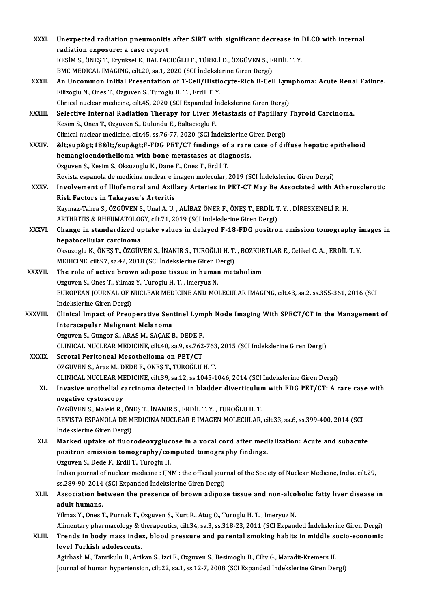| XXXI.        | Unexpected radiation pneumonitis after SIRT with significant decrease in DLCO with internal                          |
|--------------|----------------------------------------------------------------------------------------------------------------------|
|              | radiation exposure: a case report                                                                                    |
|              | KESİM S., ÖNEŞ T., Eryuksel E., BALTACIOĞLU F., TÜRELİ D., ÖZGÜVEN S., ERDİL T. Y.                                   |
|              | BMC MEDICAL IMAGING, cilt.20, sa.1, 2020 (SCI İndekslerine Giren Dergi)                                              |
| XXXII.       | An Uncommon Initial Presentation of T-Cell/Histiocyte-Rich B-Cell Lymphoma: Acute Renal Failure.                     |
|              | Filizoglu N., Ones T., Ozguven S., Turoglu H. T., Erdil T. Y.                                                        |
|              | Clinical nuclear medicine, cilt.45, 2020 (SCI Expanded İndekslerine Giren Dergi)                                     |
| XXXIII.      | Selective Internal Radiation Therapy for Liver Metastasis of Papillary Thyroid Carcinoma.                            |
|              | Kesim S., Ones T., Ozguven S., Dulundu E., Baltacioglu F.                                                            |
|              | Clinical nuclear medicine, cilt.45, ss.76-77, 2020 (SCI Indekslerine Giren Dergi)                                    |
| <b>XXXIV</b> | <sup>18</sup> F-FDG PET/CT findings of a rare case of diffuse hepatic epithelioid                                    |
|              | hemangioendothelioma with bone metastases at diagnosis.                                                              |
|              | Ozguven S., Kesim S., Oksuzoglu K., Dane F., Ones T., Erdil T.                                                       |
|              | Revista espanola de medicina nuclear e imagen molecular, 2019 (SCI İndekslerine Giren Dergi)                         |
| <b>XXXV</b>  | Involvement of Iliofemoral and Axillary Arteries in PET-CT May Be Associated with Atherosclerotic                    |
|              | Risk Factors in Takayasu's Arteritis                                                                                 |
|              | Kaymaz-Tahra S., ÖZGÜVEN S., Unal A. U., ALİBAZ ÖNER F., ÖNEŞ T., ERDİL T. Y., DİRESKENELİ R. H.                     |
|              | ARTHRITIS & RHEUMATOLOGY, cilt.71, 2019 (SCI Indekslerine Giren Dergi)                                               |
| XXXVI.       | Change in standardized uptake values in delayed F-18-FDG positron emission tomography images in                      |
|              | hepatocellular carcinoma                                                                                             |
|              | Oksuzoglu K., ÖNEŞ T., ÖZGÜVEN S., İNANIR S., TUROĞLU H. T. , BOZKURTLAR E., Celikel C. A. , ERDİL T. Y.             |
|              | MEDICINE, cilt.97, sa.42, 2018 (SCI Indekslerine Giren Dergi)                                                        |
| XXXVII.      | The role of active brown adipose tissue in human metabolism                                                          |
|              | Ozguven S., Ones T., Yilmaz Y., Turoglu H. T., Imeryuz N.                                                            |
|              | EUROPEAN JOURNAL OF NUCLEAR MEDICINE AND MOLECULAR IMAGING, cilt.43, sa.2, ss.355-361, 2016 (SCI                     |
|              | İndekslerine Giren Dergi)                                                                                            |
| XXXVIII.     | Clinical Impact of Preoperative Sentinel Lymph Node Imaging With SPECT/CT in the Management of                       |
|              | Interscapular Malignant Melanoma                                                                                     |
|              | Ozguven S., Gungor S., ARAS M., SAÇAK B., DEDE F.                                                                    |
|              | CLINICAL NUCLEAR MEDICINE, cilt.40, sa.9, ss.762-763, 2015 (SCI İndekslerine Giren Dergi)                            |
| <b>XXXIX</b> | Scrotal Peritoneal Mesothelioma on PET/CT                                                                            |
|              | ÖZGÜVEN S., Aras M., DEDE F., ÖNEŞ T., TUROĞLU H. T.                                                                 |
|              | CLINICAL NUCLEAR MEDICINE, cilt.39, sa.12, ss.1045-1046, 2014 (SCI İndekslerine Giren Dergi)                         |
| XL.          | Invasive urothelial carcinoma detected in bladder diverticulum with FDG PET/CT: A rare case with                     |
|              | negative cystoscopy                                                                                                  |
|              | ÖZGÜVEN S., Maleki R., ÖNEŞ T., İNANIR S., ERDİL T. Y., TUROĞLU H. T.                                                |
|              | REVISTA ESPANOLA DE MEDICINA NUCLEAR E IMAGEN MOLECULAR, cilt.33, sa.6, ss.399-400, 2014 (SCI                        |
|              | İndekslerine Giren Dergi)                                                                                            |
| XLI.         | Marked uptake of fluorodeoxyglucose in a vocal cord after medialization: Acute and subacute                          |
|              | positron emission tomography/computed tomography findings.                                                           |
|              | Ozguven S., Dede F., Erdil T., Turoglu H.                                                                            |
|              | Indian journal of nuclear medicine : IJNM : the official journal of the Society of Nuclear Medicine, India, cilt.29, |
|              | ss 289-90, 2014 (SCI Expanded İndekslerine Giren Dergi)                                                              |
| XLII.        | Association between the presence of brown adipose tissue and non-alcoholic fatty liver disease in                    |
|              | adult humans.                                                                                                        |
|              | Yilmaz Y., Ones T., Purnak T., Ozguven S., Kurt R., Atug O., Turoglu H. T., Imeryuz N.                               |
|              | Alimentary pharmacology & therapeutics, cilt.34, sa.3, ss.318-23, 2011 (SCI Expanded Indekslerine Giren Dergi)       |
| XLIII.       | Trends in body mass index, blood pressure and parental smoking habits in middle socio-economic                       |
|              | level Turkish adolescents.                                                                                           |
|              | Agirbasli M., Tanrikulu B., Arikan S., Izci E., Ozguven S., Besimoglu B., Ciliv G., Maradit-Kremers H.               |
|              | Journal of human hypertension, cilt.22, sa.1, ss.12-7, 2008 (SCI Expanded Indekslerine Giren Dergi)                  |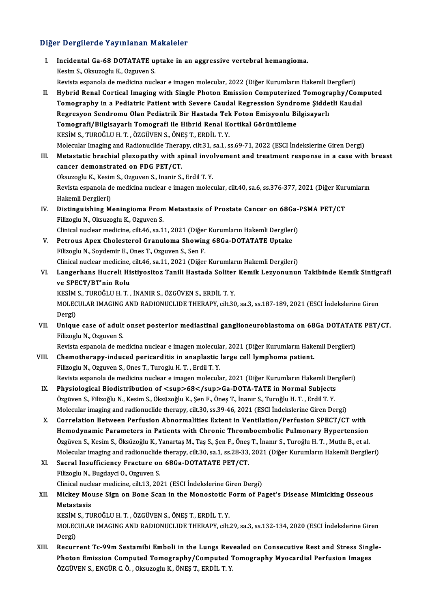#### Diğer Dergilerde Yayınlanan Makaleler

- Iger Dergilerde Yayınlanan Makaleler<br>I. Incidental Ga-68 DOTATATE uptake in an aggressive vertebral hemangioma.<br>Kesim S. Okayreshy K. Ozayyen S. meridental Ga-68 DOTATATE units<br>Kesim S., Oksuzoglu K., Ozguven S.<br>Bovista sepanala da medicina puel Incidental Ga-68 DOTATATE uptake in an aggressive vertebral hemangioma.<br>Kesim S., Oksuzoglu K., Ozguven S.<br>Revista espanola de medicina nuclear e imagen molecular, 2022 (Diğer Kurumların Hakemli Dergileri)<br>Huhnid Benel Cer Kesim S., Oksuzoglu K., Ozguven S.<br>Revista espanola de medicina nuclear e imagen molecular, 2022 (Diğer Kurumların Hakemli Dergileri)<br>II. Hybrid Renal Cortical Imaging with Single Photon Emission Computerized Tomography/Co Revista espanola de medicina nuclear e imagen molecular, 2022 (Diğer Kurumların Hakemli Dergileri)<br>Hybrid Renal Cortical Imaging with Single Photon Emission Computerized Tomography/Com<br>Tomography in a Pediatric Patient wit Tomography in a Pediatric Patient with Severe Caudal Regression Syndrome Şiddetli Kaudal<br>Regresyon Sendromu Olan Pediatrik Bir Hastada Tek Foton Emisyonlu Bilgisayarlı Tomography in a Pediatric Patient with Severe Caudal Regression Syndro<br>Regresyon Sendromu Olan Pediatrik Bir Hastada Tek Foton Emisyonlu Bi<br>Tomografi/Bilgisayarlı Tomografi ile Hibrid Renal Kortikal Görüntüleme<br>KESİM S-TUR Regresyon Sendromu Olan Pediatrik Bir Hastada Tek<br>Tomografi/Bilgisayarlı Tomografi ile Hibrid Renal K<br>KESİM S., TUROĞLU H. T. , ÖZGÜVEN S., ÖNEŞ T., ERDİL T. Y.<br>Malagular İmagina and Badianuslida Therany, silt 21, 22, 1, 2 Tomografi/Bilgisayarlı Tomografi ile Hibrid Renal Kortikal Görüntüleme<br>KESİM S., TUROĞLU H. T. , ÖZGÜVEN S., ÖNEŞ T., ERDİL T. Y.<br>Molecular Imaging and Radionuclide Therapy, cilt.31, sa.1, ss.69-71, 2022 (ESCI İndekslerine KESIM S., TUROĞLU H. T. , ÖZGÜVEN S., ÖNEŞ T., ERDİL T. Y.<br>Molecular Imaging and Radionuclide Therapy, cilt.31, sa.1, ss.69-71, 2022 (ESCI İndekslerine Giren Dergi)<br>III. Metastatic brachial plexopathy with spinal involveme Molecular Imaging and Radionuclide Thera<br>Metastatic brachial plexopathy with sp<br>cancer demonstrated on FDG PET/CT.<br>Okayzagly K. Kosim S. Ozgyvon S. Inanis S. Metastatic brachial plexopathy with spinal invo<br>cancer demonstrated on FDG PET/CT.<br>Oksuzoglu K., Kesim S., Ozguven S., Inanir S., Erdil T. Y.<br>Povista espanela de medisina nuclear e imagen melog Revista espanola de medicina nuclear e imagen molecular, cilt.40, sa.6, ss.376-377, 2021 (Diğer Kurumların Hakemli Dergileri) Oksuzoglu K., Kesin<br>Revista espanola de<br>Hakemli Dergileri)<br>Distinguishing M Revista espanola de medicina nuclear e imagen molecular, cilt.40, sa.6, ss.376-377, 2021 (Diğer Kur Hakemli Dergileri)<br>IV. Distinguishing Meningioma From Metastasis of Prostate Cancer on 68Ga-PSMA PET/CT<br>Filiperiu N. Olevr Hakemli Dergileri)<br>Distinguishing Meningioma From<br>Filizoglu N., Oksuzoglu K., Ozguven S.<br>Clinical nuclear madicine, silt 46, sa 1 Distinguishing Meningioma From Metastasis of Prostate Cancer on 68Ga-<br>Filizoglu N., Oksuzoglu K., Ozguven S.<br>Clinical nuclear medicine, cilt.46, sa.11, 2021 (Diğer Kurumların Hakemli Dergileri)<br>Petreus Anex Chelesterel Gra Filizoglu N., Oksuzoglu K., Ozguven S.<br>Clinical nuclear medicine, cilt.46, sa.11, 2021 (Diğer Kurumların Hakemli Dergiler<br>V. Petrous Apex Cholesterol Granuloma Showing 68Ga-DOTATATE Uptake<br>Filizoglu N. Sovdomir E. Orac T. Clinical nuclear medicine, cilt.46, sa.11, 2021 (Diğer<br>Petrous Apex Cholesterol Granuloma Showin<br>Filizoglu N., Soydemir E., Ones T., Ozguven S., Sen F.<br>Clinical nuclear medicine, cilt.46, sa.11, 2021 (Dižer Petrous Apex Cholesterol Granuloma Showing 68Ga-DOTATATE Uptake<br>Filizoglu N., Soydemir E., Ones T., Ozguven S., Sen F.<br>Clinical nuclear medicine, cilt.46, sa.11, 2021 (Diğer Kurumların Hakemli Dergileri)<br>Langarhane Hueroli Filizoglu N., Soydemir E., Ones T., Ozguven S., Sen F.<br>Clinical nuclear medicine, cilt.46, sa.11, 2021 (Diğer Kurumların Hakemli Dergileri)<br>VI. Langerhans Hucreli Histiyositoz Tanili Hastada Soliter Kemik Lezyonunun Ta Clinical nuclear medicine,<br>Langerhans Hucreli Hi<br>ve SPECT/BT'nin Rolu<br>vesims TUROČULU T Langerhans Hucreli Histiyositoz Tanili Hastada Soliter<br>ve SPECT/BT'nin Rolu<br>KESİM S., TUROĞLU H. T. , İNANIR S., ÖZGÜVEN S., ERDİL T. Y.<br>MOLECULAR IMAÇINC AND RADIONUCLIDE THERADY. 611: 20 ve SPECT/BT'nin Rolu<br>KESİM S., TUROĞLU H. T. , İNANIR S., ÖZGÜVEN S., ERDİL T. Y.<br>MOLECULAR IMAGING AND RADIONUCLIDE THERAPY, cilt.30, sa.3, ss.187-189, 2021 (ESCI İndekslerine Giren KESIM<br>MOLEC<br>Dergi)<br>Uniau MOLECULAR IMAGING AND RADIONUCLIDE THERAPY, cilt.30, sa.3, ss.187-189, 2021 (ESCI İndekslerine Giren<br>Dergi)<br>VII. Unique case of adult onset posterior mediastinal ganglioneuroblastoma on 68Ga DOTATATE PET/CT.<br>Filipedu N. Oz Dergi)<br>Unique case of adult onset posterior mediastinal ganglioneuroblastoma on 68Ga DOTATAT<br>Filizoglu N., Ozguven S.<br>Revista espanola de medicina nuclear e imagen molecular, 2021 (Diğer Kurumların Hakemli Dergileri) Unique case of adult onset posterior mediastinal ganglioneuroblastoma on 68Ga DOTATAT<br>Filizoglu N., Ozguven S.<br>Revista espanola de medicina nuclear e imagen molecular, 2021 (Diğer Kurumların Hakemli Dergileri)<br>Chametharany VIII. Chemotherapy-induced pericarditis in anaplastic large cell lymphoma patient. FilizogluN.,OzguvenS.,OnesT.,TurogluH.T. ,ErdilT.Y. Revista espanola de medicina nuclear e imagen molecular, 2021 (Diğer Kurumların Hakemli Dergileri) Filizoglu N., Ozguven S., Ones T., Turoglu H. T. , Erdil T. Y.<br>Revista espanola de medicina nuclear e imagen molecular, 2021 (Diğer Kurumların Hakemli Der<br>IX. Physiological Biodistribution of  $\langle \sup>68\langle \sup>69\rangle Ga-D$ OTA-TATE Revista espanola de medicina nuclear e imagen molecular, 2021 (Diğer Kurumların Hakemli Dei<br>Physiological Biodistribution of <sup>68</sup>Ga-DOTA-TATE in Normal Subjects<br>Özgüven S., Filizoğlu N., Kesim S., Öksüzoğlu K., Şe Özgüven S., Filizoğlu N., Kesim S., Öksüzoğlu K., Şen F., Öneş T., İnanır S., Turoğlu H. T. , Erdil T. Y.<br>Molecular imaging and radionuclide therapy, cilt.30, ss.39-46, 2021 (ESCI İndekslerine Giren Dergi) X. Correlation Between Perfusion Abnormalities Extent in Ventilation/Perfusion SPECT/CTwith Hemodynamic Parameters in Patients with Chronic Thromboembolic Pulmonary Hypertension Özgüven S., Kesim S., Öksüzoğlu K., Yanartaş M., Taş S., Şen F., Öneş T., İnanır S., Turoğlu H. T. , Mutlu B., et al. Molecular imaging and radionuclide therapy, cilt.30, sa.1, ss.28-33, 2021 (Diğer Kurumların Hakemli Dergileri) Özgüven S., Kesim S., Öksüzoğlu K., Yanartaş M., Taş S., Şen F., Öneş<br>Molecular imaging and radionuclide therapy, cilt.30, sa.1, ss.28-33,<br>XI. Sacral Insufficiency Fracture on 68Ga-DOTATATE PET/CT. Molecular imaging and radionuclide<br>Sacral Insufficiency Fracture or<br>Filizoglu N., Bugdayci O., Ozguven S.<br>Clinical nuclear medicine, cilt 12, 20. Sacral Insufficiency Fracture on 68Ga-DOTATATE PET/CT.<br>Filizoglu N., Bugdayci O., Ozguven S.<br>Clinical nuclear medicine, cilt.13, 2021 (ESCI İndekslerine Giren Dergi)<br>Miskey Mause Sign an Bane Ssan in the Manastatis Form of Filizoglu N., Bugdayci O., Ozguven S.<br>Clinical nuclear medicine, cilt.13, 2021 (ESCI İndekslerine Giren Dergi)<br>XII. Mickey Mouse Sign on Bone Scan in the Monostotic Form of Paget's Disease Mimicking Osseous<br>Metestesis Clinical nuclear medicine, cilt.13, 2021 (ESCI İndekslerine Giren Dergi)<br>Mickey Mouse Sign on Bone Scan in the Monostotic Form of Pa<br>Metastasis<br>KESİM S., TUROĞLU H. T., ÖZGÜVEN S., ÖNES T., ERDİL T. Y. Mickey Mouse Sign on Bone Scan in the Monostotic I<br>Metastasis<br>KESİM S., TUROĞLU H. T. , ÖZGÜVEN S., ÖNEŞ T., ERDİL T. Y.<br>MOLECULAR IMAÇINC AND RADIONUCLIDE TUERARY silt : Metastasis<br>KESİM S., TUROĞLU H. T. , ÖZGÜVEN S., ÖNEŞ T., ERDİL T. Y.<br>MOLECULAR IMAGING AND RADIONUCLIDE THERAPY, cilt.29, sa.3, ss.132-134, 2020 (ESCI İndekslerine Giren KESİM<br>MOLEC<br>Dergi)<br>Besuru MOLECULAR IMAGING AND RADIONUCLIDE THERAPY, cilt.29, sa.3, ss.132-134, 2020 (ESCI Indekslerine Giren<br>Dergi)<br>XIII. Recurrent Tc-99m Sestamibi Emboli in the Lungs Revealed on Consecutive Rest and Stress Single-<br>Rhotan Emissi Dergi)<br>Recurrent Tc-99m Sestamibi Emboli in the Lungs Revealed on Consecutive Rest and Stress Sing<br>Photon Emission Computed Tomography/Computed Tomography Myocardial Perfusion Images<br>ÖZCÜVEN S. ENCÜP G.Ö. Okayreshy K. ÖNES
	- Recurrent Tc-99m Sestamibi Emboli in the Lungs Rev<br>Photon Emission Computed Tomography/Computed 1<br>ÖZGÜVEN S., ENGÜR C. Ö. , Oksuzoglu K., ÖNEŞ T., ERDİL T. Y.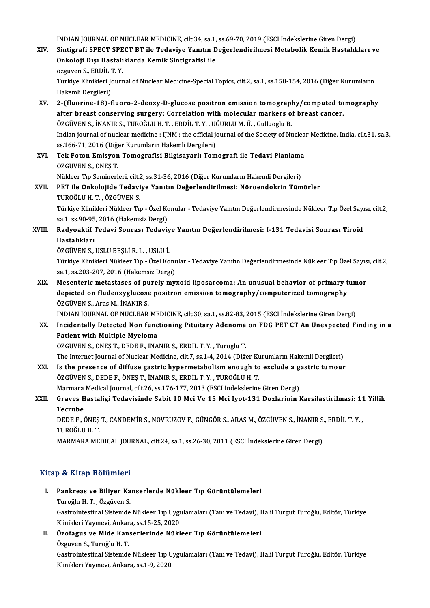INDIANJOURNALOFNUCLEARMEDICINE, cilt.34, sa.1, ss.69-70,2019 (ESCI İndekslerineGirenDergi)

- INDIAN JOURNAL OF NUCLEAR MEDICINE, cilt.34, sa.1, ss.69-70, 2019 (ESCI İndekslerine Giren Dergi)<br>XIV. Sintigrafi SPECT SPECT BT ile Tedaviye Yanıtın Değerlendirilmesi Metabolik Kemik Hastalıkları ve<br>Qakalaji Dısı Hast INDIAN JOURNAL OF NUCLEAR MEDICINE, cilt.34, sa.1,<br>Sintigrafi SPECT SPECT BT ile Tedaviye Yanıtın D<br>Onkoloji Dışı Hastalıklarda Kemik Sintigrafisi ile<br>ÖZGÜYOR S. EPDİL T.Y Sintigrafi SPECT SPE<br>Onkoloji Dışı Hastalı<br>özgüven S., ERDİL T. Y.<br>Turkiye Klinikleri İonuz Onkoloji Dışı Hastalıklarda Kemik Sintigrafisi ile<br>özgüven S., ERDİL T. Y.<br>Turkiye Klinikleri Journal of Nuclear Medicine-Special Topics, cilt.2, sa.1, ss.150-154, 2016 (Diğer Kurumların Hakemli Dergileri)
- Turkiye Klinikleri Journal of Nuclear Medicine-Special Topics, cilt.2, sa.1, ss.150-154, 2016 (Diğer Kurumların<br>Hakemli Dergileri)<br>XV. 2-(fluorine-18)-fluoro-2-deoxy-D-glucose positron emission tomography/computed tomograp Hakemli Dergileri)<br>2-(fluorine-18)-fluoro-2-deoxy-D-glucose positron emission tomography/computed to<br>after breast conserving surgery: Correlation with molecular markers of breast cancer.<br>ÖZCÜVEN S. İNANIP S. TUPOČLU H. T. 2-(fluorine-18)-fluoro-2-deoxy-D-glucose positron emission tomograpl<br>after breast conserving surgery: Correlation with molecular markers o<br>ÖZGÜVEN S., İNANIR S., TUROĞLU H. T. , ERDİL T. Y. , UĞURLU M. Ü. , Gulluoglu B.<br>In after breast conserving surgery: Correlation with molecular markers of breast cancer.<br>ÖZGÜVEN S., İNANIR S., TUROĞLU H. T. , ERDİL T. Y. , UĞURLU M. Ü. , Gulluoglu B.<br>Indian journal of nuclear medicine : IJNM : the officia ÖZGÜVEN S., İNANIR S., TUROĞLU H. T. , ERDİL T. Y. , UÖ<br>Indian journal of nuclear medicine : IJNM : the official jo<br>ss.166-71, 2016 (Diğer Kurumların Hakemli Dergileri)<br>Tek Eeten Emisyon Temesrefisi Bilsiseyerlı Tem Indian journal of nuclear medicine : IJNM : the official journal of the Society of Nuclea<br>ss.166-71, 2016 (Diğer Kurumların Hakemli Dergileri)<br>XVI. Tek Foton Emisyon Tomografisi Bilgisayarlı Tomografi ile Tedavi Planlama<br>Ö
- ss.166-71, 2016 (Diğer Kurumların Hakemli Dergileri)<br>Tek Foton Emisyon Tomografisi Bilgisayarlı Tomografi ile Tedavi Planlama<br>ÖZGÜVEN S., ÖNEŞ T. Tek Foton Emisyon Tomografisi Bilgisayarlı Tomografi ile Tedavi Planlama<br>ÖZGÜVEN S., ÖNEŞ T.<br>Nükleer Tıp Seminerleri, cilt.2, ss.31-36, 2016 (Diğer Kurumların Hakemli Dergileri)<br>PET ile Onkolajide Tedaviye Yanıtın Değarlan
- XVII. PET ile Onkolojide Tedaviye Yanıtın Değerlendirilmesi: Nöroendokrin Tümörler<br>TUROĞLU H. T., ÖZGÜVEN S. Nükleer Tıp Seminerleri, cilt.<br>PET ile Onkolojide Tedavi<br>TUROĞLU H. T. , ÖZGÜVEN S.<br>Türkiye Klinikleri Nükleer Tu PET ile Onkolojide Tedaviye Yanıtın Değerlendirilmesi: Nöroendokrin Tümörler<br>TUROĞLU H. T. , ÖZGÜVEN S.<br>Türkiye Klinikleri Nükleer Tıp - Özel Konular - Tedaviye Yanıtın Değerlendirmesinde Nükleer Tıp Özel Sayısı, cilt.2, TUROĞLU H. T. , ÖZGÜVEN S.<br>Türkiye Klinikleri Nükleer Tıp - Özel Ko<br>sa.1, ss.90-95, 2016 (Hakemsiz Dergi)<br>Pedveektif Tedevi Sennesı Tedevij
- Türkiye Klinikleri Nükleer Tıp Özel Konular Tedaviye Yanıtın Değerlendirmesinde Nükleer Tıp Özel Sayı<br>sa.1, ss.90-95, 2016 (Hakemsiz Dergi)<br>XVIII. Radyoaktif Tedavi Sonrası Tedaviye Yanıtın Değerlendirilmesi: I-131 sa.1, ss.90-95<br><mark>Radyoaktif '</mark><br>Hastalıkları<br>Özcüyen s Radyoaktif Tedavi Sonrası Tedaviy<br>Hastalıkları<br>ÖZGÜVEN S., USLU BEŞLİ R. L. , USLU İ.<br>Türkiye Klinikleri Nükleer Tın., Özel Ke
	-

Hastalıkları<br>ÖZGÜVEN S., USLU BEŞLİ R. L. , USLU İ.<br>Türkiye Klinikleri Nükleer Tıp - Özel Konular - Tedaviye Yanıtın Değerlendirmesinde Nükleer Tıp Özel Sayısı, cilt.2,<br>sa.1, ss.203-207, 2016 (Hakemsiz Dergi) ÖZGÜVEN S., USLU BEŞLİ R. L. , USLU İ.<br>Türkiye Klinikleri Nükleer Tıp - Özel Konu<br>sa.1, ss.203-207, 2016 (Hakemsiz Dergi)<br>Mesenteris metestases of nurely my Türkiye Klinikleri Nükleer Tıp - Özel Konular - Tedaviye Yanıtın Değerlendirmesinde Nükleer Tıp Özel Sayıs<br>sa.1, ss.203-207, 2016 (Hakemsiz Dergi)<br>XIX. Mesenteric metastases of purely myxoid liposarcoma: An unusual behavio

sa.1, ss.203-207, 2016 (Hakemsiz Dergi)<br>Mesenteric metastases of purely myxoid liposarcoma: An unusual behavior of primary t<br>depicted on fludeoxyglucose positron emission tomography/computerized tomography<br>ÖZCÜVEN S. Ares Mesenteric metastases of pu<br>depicted on fludeoxyglucose<br>ÖZGÜVEN S., Aras M., İNANIR S.<br>INDIAN IQUPNAL OE NUCLEAR depicted on fludeoxyglucose positron emission tomography/computerized tomography<br>ÖZGÜVEN S., Aras M., İNANIR S.<br>INDIAN JOURNAL OF NUCLEAR MEDICINE, cilt.30, sa.1, ss.82-83, 2015 (ESCI İndekslerine Giren Dergi)

ÖZGÜVEN S., Aras M., İNANIR S.<br>INDIAN JOURNAL OF NUCLEAR MEDICINE, cilt.30, sa.1, ss.82-83, 2015 (ESCI İndekslerine Giren Dergi)<br>XX. Incidentally Detected Non functioning Pituitary Adenoma on FDG PET CT An Unexpected F INDIAN JOURNAL OF NUCLEAR ME<br>Incidentally Detected Non func<br>Patient with Multiple Myeloma<br>OZCUVEN S. ÖNES T. DEDE E. İNA Incidentally Detected Non functioning Pituitary Adenoma<br>Patient with Multiple Myeloma<br>OZGUVEN S., ÖNEŞ T., DEDE F., İNANIR S., ERDİL T.Y. , Turoglu T.<br>The Internet Journal of Nuclear Medicine, cilt 7, 88 1, 4, 2014 (Diž. Patient with Multiple Myeloma<br>OZGUVEN S., ÖNEŞ T., DEDE F., İNANIR S., ERDİL T. Y. , Turoglu T.<br>The Internet Journal of Nuclear Medicine, cilt.7, ss.1-4, 2014 (Diğer Kurumların Hakemli Dergileri)

OZGUVEN S., ÖNEŞ T., DEDE F., İNANIR S., ERDİL T. Y. , Turoglu T.<br>The Internet Journal of Nuclear Medicine, cilt.7, ss.1-4, 2014 (Diğer Kurumların Hakemli Dergileri)<br>XXI. Is the presence of diffuse gastric hypermetabolism The Internet Journal of Nuclear Medicine, cilt.7, ss.1-4, 2014 (Diğer Kunstline School)<br>Is the presence of diffuse gastric hypermetabolism enough to<br>ÖZGÜVEN S., DEDE F., ÖNEŞ T., İNANIR S., ERDİL T.Y., TUROĞLUH. T.<br>Maymaya Is the presence of diffuse gastric hypermetabolism enough to exclude a g<br>ÖZGÜVEN S., DEDE F., ÖNEŞ T., İNANIR S., ERDİL T. Y. , TUROĞLU H. T.<br>Marmara Medical Journal, cilt.26, ss.176-177, 2013 (ESCI İndekslerine Giren Derg

ÖZGÜVEN S., DEDE F., ÖNEŞ T., İNANIR S., ERDİL T. Y. , TUROĞLU H. T.<br>Marmara Medical Journal, cilt.26, ss.176-177, 2013 (ESCI İndekslerine Giren Dergi)<br>XXII. Graves Hastaligi Tedavisinde Sabit 10 Mci Ve 15 Mci Iyot-131 Marmara<br>Graves H<br>Tecrube<br>DEDE E é

Graves Hastaligi Tedavisinde Sabit 10 Mci Ve 15 Mci Iyot-131 Dozlarinin Karsilastirilmasi: 11<br>Tecrube<br>DEDE F., ÖNEŞ T., CANDEMİR S., NOVRUZOV F., GÜNGÖR S., ARAS M., ÖZGÜVEN S., İNANIR S., ERDİL T.Y. ,<br>TUROČLU H. T Tecrube<br>DEDE F., ÖNEŞ<br>TUROĞLU H. T.<br>MARMARA ME' DEDE F., ÖNEŞ T., CANDEMİR S., NOVRUZOV F., GÜNGÖR S., ARAS M., ÖZGÜVEN S., İNANIR S.<br>TUROĞLU H. T.<br>MARMARA MEDICAL JOURNAL, cilt.24, sa.1, ss.26-30, 2011 (ESCI İndekslerine Giren Dergi)

MARMARA MEDICAL JOURNAL, cilt.24, sa.1, ss.26-30, 2011 (ESCI İndekslerine Giren Dergi)<br>Kitap & Kitap Bölümleri

- Itap & Kitap Bölümleri<br>I. Pankreas ve Biliyer Kanserlerde Nükleer Tıp Görüntülemeleri<br> Tureğlu H. T. Öggüyen S p & KRup Bordmore<br>Pankreas ve Biliyer Ka<br>Turoğlu H.T., Özgüven S. Pankreas ve Biliyer Kanserlerde Nükleer Tıp Görüntülemeleri<br>Turoğlu H. T. , Özgüven S.<br>Gastrointestinal Sistemde Nükleer Tıp Uygulamaları (Tanı ve Tedavi), Halil Turgut Turoğlu, Editör, Türkiye<br>Klipikleri Younevi, Ankara s Turoğlu H. T. , Özgüven S.<br>Gastrointestinal Sistemde Nükleer Tıp Uygı<br>Klinikleri Yayınevi, Ankara, ss.15-25, 2020<br>Özefegue ve Mide Kanserlerinde Nükl Gastrointestinal Sistemde Nükleer Tıp Uygulamaları (Tanı ve Tedavi), H<br>Klinikleri Yayınevi, Ankara, ss.15-25, 2020<br>II. Özofagus ve Mide Kanserlerinde Nükleer Tıp Görüntülemeleri<br>Özgüyen S. Tureğlu H.T.
- Klinikleri Yayınevi, Ankar<br>Özofagus ve Mide Kan<br>Özgüven S., Turoğlu H. T.<br>Cestreintestinel Sistemde Özofagus ve Mide Kanserlerinde Nükleer Tıp Görüntülemeleri<br>Özgüven S., Turoğlu H. T.<br>Gastrointestinal Sistemde Nükleer Tıp Uygulamaları (Tanı ve Tedavi), Halil Turgut Turoğlu, Editör, Türkiye<br>Klipilderi Yaynayıi, Ankara se Özgüven S., Turoğlu H. T.<br>Gastrointestinal Sistemde Nükleer Tıp l<br>Klinikleri Yayınevi, Ankara, ss.1-9, 2020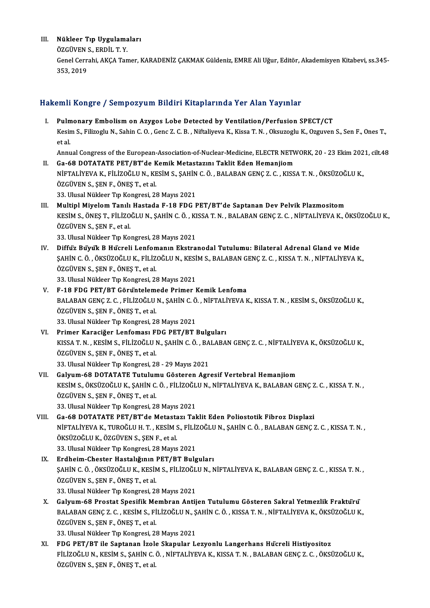- III. Nükleer Tıp Uygulamaları<br>ÖZCÜVEN S EPDIL T V
	- Nükleer Tıp Uygulama<br>ÖZGÜVEN S., ERDİL T. Y.<br>Cenel Cerrebi, AKCA Ter ÖZGÜVEN S., ERDİL T. Y.

Genel Cerrahi, AKÇA Tamer, KARADENİZ ÇAKMAK Güldeniz, EMRE Ali Uğur, Editör, Akademisyen Kitabevi, ss.345-<br>353. 2019

#### Hakemli Kongre / Sempozyum Bildiri Kitaplarında Yer Alan Yayınlar

akemli Kongre / Sempozyum Bildiri Kitaplarında Yer Alan Yayınlar<br>I. Pulmonary Embolism on Azygos Lobe Detected by Ventilation/Perfusion SPECT/CT<br>Kesim S. Filizech: N. Sabin G.O. Cene 7. G.B. Niftaliyeve K. Kissa T.N. Okayz Kesim S., Filizoglu N., Sahin C. O. , Genc Z. C. B. , Niftaliyeva K., Kissa T. N. , Oksuzoglu K., Ozguven S., Sen F., Ones T.,<br>et al. Pulm<br>Kesir<br>et al. Kesim S., Filizoglu N., Sahin C. O. , Genc Z. C. B. , Niftaliyeva K., Kissa T. N. , Oksuzoglu K., Ozguven S., Sen F., Ones T.,<br>et al.<br>Annual Congress of the European-Association-of-Nuclear-Medicine, ELECTR NETWORK, 20 - 23

et al.<br>Annual Congress of the European-Association-of-Nuclear-Medicine, ELECTR NETV<br>II. Ga-68 DOTATATE PET/BT'de Kemik Metastazını Taklit Eden Hemanjiom<br>Nigral İveya ve Filizoğlu Nevesim Sesalin Göl Balaban CENGZ Gekiss

- Annual Congress of the European-Association-of-Nuclear-Medicine, ELECTR NETWORK, 20 23 Ekim 202<br>Ga-68 DOTATATE PET/BT'de Kemik Metastazını Taklit Eden Hemanjiom<br>NİFTALİYEVA K., FİLİZOĞLU N., KESİM S., ŞAHİN C. Ö. , BALAB II. Ga-68 DOTATATE PET/BT'de Kemik Metastazını Taklit Eden Hemanjiom<br>NİFTALİYEVA K., FİLİZOĞLU N., KESİM S., ŞAHİN C. Ö. , BALABAN GENÇ Z. C. , KISS<br>ÖZGÜVEN S., ŞEN F., ÖNEŞ T., et al.<br>33. Ulusal Nükleer Tıp Kongresi, 28 M NİFTALİYEVA K., FİLİZOĞLU N., KESİM S., ŞAHİN C. Ö., BALABAN GENÇ Z. C., KISSA T. N., ÖKSÜZOĞLU K.,
- ÖZGÜVEN S., ŞEN F., ÖNEŞ T., et al.<br>33. Ulusal Nükleer Tıp Kongresi, 28 Mayıs 2021<br>III. Multipl Miyelom Tanılı Hastada F-18 FDG PET/BT'de Saptanan Dev Pelvik Plazmositom<br>ERSEM S. ÖNES T. ELLİZOĞLUN, SAHİN G. Ö., KISSA T.N. 33. Ulusal Nükleer Tıp Kongresi, 28 Mayıs 2021<br>Multipl Miyelom Tanılı Hastada F-18 FDG PET/BT'de Saptanan Dev Pelvik Plazmositom<br>KESİM S., ÖNEŞ T., FİLİZOĞLU N., ŞAHİN C. Ö. , KISSA T. N. , BALABAN GENÇ Z. C. , NİFTALİYEVA Multipl Miyelom Tanılı<br>KESİM S., ÖNEŞ T., FİLİZO<br>ÖZGÜVEN S., ŞEN F., et al.<br>22. Ulucal Nüldeer Tın Ko KESİM S., ÖNEŞ T., FİLİZOĞLU N., ŞAHİN C. Ö. , KI<br>ÖZGÜVEN S., ŞEN F., et al.<br>33. Ulusal Nükleer Tıp Kongresi, 28 Mayıs 2021<br>Diffüz Bu'yu'k B. Hücroli Lonfomanın Ekstra ÖZGÜVEN S., ŞEN F., et al.<br>33. Ulusal Nükleer Tıp Kongresi, 28 Mayıs 2021<br>IV. Diffüz Büyük B Hücreli Lenfomanın Ekstranodal Tutulumu: Bilateral Adrenal Gland ve Mide

- 33. Ulusal Nükleer Tıp Kongresi, 28 Mayıs 2021<br>Diffuz Buyuk B Hucreli Lenfomanın Ekstranodal Tutulumu: Bilateral Adrenal Gland ve Mide<br>ŞAHİN C. Ö. , ÖKSÜZOĞLU K., FİLİZOĞLU N., KESİM S., BALABAN GENÇ Z. C. , KISSA T. N. , Diffuz Buyuk B Hucreli Lenfon<br>ŞAHİN C. Ö. , ÖKSÜZOĞLU K., FİLİZ<br>ÖZGÜVEN S., ŞEN F., ÖNEŞ T., et al.<br>22. Ulucal Nükleer T.n Kengresi, 22 ŞAHİN C. Ö. , ÖKSÜZOĞLU K., FİLİZOĞLU N., KESİ<br>ÖZGÜVEN S., ŞEN F., ÖNEŞ T., et al.<br>33. Ulusal Nükleer Tıp Kongresi, 28 Mayıs 2021<br>E.18 EDC PET/PT Cönüntelemede Primer I ÖZGÜVEN S., ŞEN F., ÖNEŞ T., et al.<br>33. Ulusal Nükleer Tıp Kongresi, 28 Mayıs 2021<br>V. F-18 FDG PET/BT Görüntelemede Primer Kemik Lenfoma
- 33. Ulusal Nükleer Tıp Kongresi, 28 Mayıs 2021<br>F-18 FDG PET/BT Görüntelemede Primer Kemik Lenfoma<br>BALABAN GENÇ Z. C. , FİLİZOĞLU N., ŞAHİN C. Ö. , NİFTALİYEVA K., KISSA T. N. , KESİM S., ÖKSÜZOĞLU K.,<br>ÖZCÜVEN S. SEN E. ÖNE F-18 FDG PET/BT Görüntelem<br>BALABAN GENÇ Z. C. , FİLİZOĞLU<br>ÖZGÜVEN S., ŞEN F., ÖNEŞ T., et al.<br>22. Ulusal Nükleer Tr. Kengresi, 23 BALABAN GENÇ Z. C. , FİLİZOĞLU N., ŞAHİN C. Ö<br>ÖZGÜVEN S., ŞEN F., ÖNEŞ T., et al.<br>33. Ulusal Nükleer Tıp Kongresi, 28 Mayıs 2021<br>Primer Karasiğer Lenfemesi EDG PET (P.T.) ÖZGÜVEN S., ŞEN F., ÖNEŞ T., et al.<br>33. Ulusal Nükleer Tıp Kongresi, 28 Mayıs 2021<br>VI. Primer Karaciğer Lenfoması FDG PET/BT Bulguları
- 33. Ulusal Nükleer Tıp Kongresi, 28 Mayıs 2021<br>Primer Karaciğer Lenfoması FDG PET/BT Bulguları<br>KISSA T.N., KESİM S., FİLİZOĞLU N., ŞAHİN C. Ö. , BALABAN GENÇ Z. C. , NİFTALİYEVA K., ÖKSÜZOĞLU K.,<br>ÖZCÜVEN S. SEN E. ÖNES T. Primer Karaciğer Lenfoması F<br>KISSA T. N. , KESİM S., FİLİZOĞLU I<br>ÖZGÜVEN S., ŞEN F., ÖNEŞ T., et al.<br>22. Ulusal Nüldeer T.n Kongresi, 21 KISSA T. N. , KESİM S., FİLİZOĞLU N., ŞAHİN C. Ö. , BA<br>ÖZGÜVEN S., ŞEN F., ÖNEŞ T., et al.<br>33. Ulusal Nükleer Tıp Kongresi, 28 - 29 Mayıs 2021<br>Caluum 68 DOTATATE Tutulumu Cösteren Asr ÖZGÜVEN S., ŞEN F., ÖNEŞ T., et al.<br>33. Ulusal Nükleer Tıp Kongresi, 28 - 29 Mayıs 2021<br>VII. Galyum-68 DOTATATE Tutulumu Gösteren Agresif Vertebral Hemanjiom
- 33. Ulusal Nükleer Tıp Kongresi, 28 29 Mayıs 2021<br>Galyum-68 DOTATATE Tutulumu Gösteren Agresif Vertebral Hemanjiom<br>KESİM S., ÖKSÜZOĞLU K., ŞAHİN C. Ö. , FİLİZOĞLU N., NİFTALİYEVA K., BALABAN GENÇ Z. C. , KISSA T. N. ,<br>ÖZ Galyum-68 DOTATATE Tutulun<br>KESİM S., ÖKSÜZOĞLU K., ŞAHİN C.<br>ÖZGÜVEN S., ŞEN F., ÖNEŞ T., et al.<br><sup>22. Hural Nülden T.n Kongresi, 23.</sup> KESİM S., ÖKSÜZOĞLU K., ŞAHİN C. Ö. , FİLİZOĞL<br>ÖZGÜVEN S., ŞEN F., ÖNEŞ T., et al.<br>33. Ulusal Nükleer Tıp Kongresi, 28 Mayıs 2021<br>Ca. 68. DOTATATE PET/PT'de Matastarı Tal ÖZGÜVEN S., ŞEN F., ÖNEŞ T., et al.<br>33. Ulusal Nükleer Tıp Kongresi, 28 Mayıs 2021<br>VIII. Ga-68 DOTATATE PET/BT'de Metastazı Taklit Eden Poliostotik Fibroz Displazi
- NİFTALİYEVAK.,TUROĞLUH.T. ,KESİMS.,FİLİZOĞLUN.,ŞAHİNC.Ö. ,BALABANGENÇZ.C. ,KISSAT.N. , ÖKSÜZOĞLU K., ÖZGÜVEN S., ŞEN F., et al. 33. Ulusal Nükleer Tıp Kongresi, 28 Mayıs 2021 ÖKSÜZOĞLU K., ÖZGÜVEN S., ŞEN F., et al.<br>33. Ulusal Nükleer Tıp Kongresi, 28 Mayıs 2021<br>IX. Erdheim-Chester Hastalığının PET/BT Bulguları<br>SAHİN G.Ö. ÖKSÜZOĞLU K. KESİM S. FU İZOĞLU N. N
- 33. Ulusal Nükleer Tıp Kongresi, 28 Mayıs 2021<br><mark>Erdheim-Chester Hastalığının PET/BT Bulguları</mark><br>ŞAHİN C. Ö. , ÖKSÜZOĞLU K., KESİM S., FİLİZOĞLU N., NİFTALİYEVA K., BALABAN GENÇ Z. C. , KISSA T. N. ,<br>ÖZCÜVEN S. SEN E. ÖNES T Erdheim-Chester Hastalığının |<br>ŞAHİN C. Ö. , ÖKSÜZOĞLU K., KESİN<br>ÖZGÜVEN S., ŞEN F., ÖNEŞ T., et al.<br>22. Ulusal Nükleer T.n Kengresi, 22 ŞAHİN C. Ö. , ÖKSÜZOĞLU K., KESİM S., FİLİZOĞL<br>ÖZGÜVEN S., ŞEN F., ÖNEŞ T., et al.<br>33. Ulusal Nükleer Tıp Kongresi, 28 Mayıs 2021<br>Caluum 68 Prostat Spesifik Membran Antii ÖZGÜVEN S., ŞEN F., ÖNEŞ T., et al.<br>33. Ulusal Nükleer Tıp Kongresi, 28 Mayıs 2021<br>X. Galyum-68 Prostat Spesifik Membran Antijen Tutulumu Gösteren Sakral Yetmezlik Fraktürü<br>RALARAN CENC 7. G. KESİM S. ELIZOĞLU N. SAHİN G.
- 33. Ulusal Nükleer Tıp Kongresi, 28 Mayıs 2021<br>Galyum-68 Prostat Spesifik Membran Antijen Tutulumu Gösteren Sakral Yetmezlik Fraktürü<br>BALABAN GENÇ Z. C. , KESİM S., FİLİZOĞLU N., ŞAHİN C. Ö. , KISSA T. N. , NİFTALİYEVA K., Galyum-68 Prostat Spesifik Me<br>BALABAN GENÇ Z. C. , KESİM S., Fİ<br>ÖZGÜVEN S., ŞEN F., ÖNEŞ T., et al.<br>22. Ulusal Nükleer T.n Kengresi, 22 BALABAN GENÇ Z. C. , KESİM S., FİLİZOĞLU N., ŞAHİN C. Ö. , KISSA T. N. , NİFTALİYEVA K., ÖKSÜZOĞLU K.,<br>ÖZGÜVEN S., ŞEN F., ÖNEŞ T., et al.<br>33. Ulusal Nükleer Tıp Kongresi, 28 Mayıs 2021

XI. FDG PET/BT ile Saptanan İzole Skapular Lezyonlu Langerhans Hücreli Histiyositoz 33. Ulusal Nükleer Tıp Kongresi, 28 Mayıs 2021<br>FDG PET/BT ile Saptanan İzole Skapular Lezyonlu Langerhans Hücreli Histiyositoz<br>FİLİZOĞLU N., KESİM S., ŞAHİN C. Ö. , NİFTALİYEVA K., KISSA T. N. , BALABAN GENÇ Z. C. , ÖKSÜZO FDG PET/BT ile Saptanan İzol<br>FİLİZOĞLU N., KESİM S., ŞAHİN C.<br>ÖZGÜVEN S., ŞEN F., ÖNEŞ T., et al.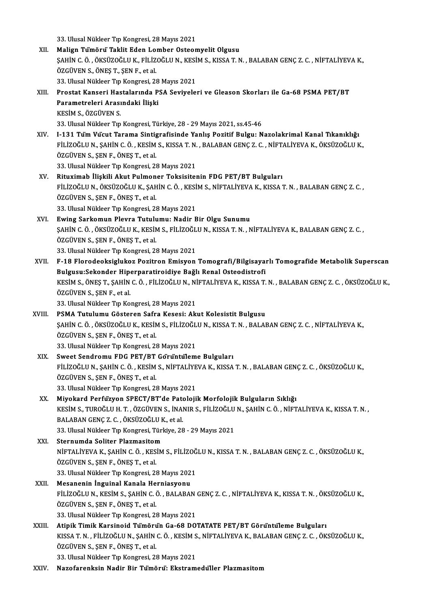33. Ulusal Nükleer Tıp Kongresi, 28 Mayıs 2021

- 33. Ulusal Nükleer Tıp Kongresi, 28 Mayıs 2021<br>XII. Malign Tümörü Taklit Eden Lomber Osteomyelit Olgusu<br>SAHİN G.Ö. ÖVSÜZOĞLU V, FÜ İZOĞLU N, VESİM S, VISSA T, N 33. Ulusal Nükleer Tıp Kongresi, 28 Mayıs 2021<br>Malign Tümörü Taklit Eden Lomber Osteomyelit Olgusu<br>ŞAHİN C. Ö. , ÖKSÜZOĞLU K., FİLİZOĞLU N., KESİM S., KISSA T. N. , BALABAN GENÇ Z. C. , NİFTALİYEVA K.,<br>ÖZCÜVEN S. ÖNES T. S Malign Tümörü Taklit Eden Lo:<br>ŞAHİN C. Ö. , ÖKSÜZOĞLU K., FİLİZ<br>ÖZGÜVEN S., ÖNEŞ T., ŞEN F., et al.<br>22. Ulusal Nükleen T.n Kongresi, 22 ŞAHİN C. Ö. , ÖKSÜZOĞLU K., FİLİZOĞLU N., KESİ<br>ÖZGÜVEN S., ÖNEŞ T., ŞEN F., et al.<br>33. Ulusal Nükleer Tıp Kongresi, 28 Mayıs 2021<br>Prostat Kansori Hastalarında PSA Soviyele ÖZGÜVEN S., ÖNEŞ T., ŞEN F., et al.<br>33. Ulusal Nükleer Tıp Kongresi, 28 Mayıs 2021<br>XIII. Prostat Kanseri Hastalarında PSA Seviyeleri ve Gleason Skorları ile Ga-68 PSMA PET/BT<br>Parametreleri Arasındaki İlişki 33. Ulusal Nükleer Tıp Kongresi, 28 Mayıs 2021 KESİMS.,ÖZGÜVENS. 33. Ulusal Nükleer Tıp Kongresi, Türkiye, 28 - 29 Mayıs 2021, ss.45-46 KESİM S., ÖZGÜVEN S.<br>33. Ulusal Nükleer Tıp Kongresi, Türkiye, 28 - 29 Mayıs 2021, ss.45-46<br>XIV. I-131 Tüm Vücut Tarama Sintigrafisinde Yanlış Pozitif Bulgu: Nazolakrimal Kanal Tıkanıklığı<br>ELLİZOĞLUN, SAHİN G.Ö., KESİM 33. Ulusal Nükleer Tıp Kongresi, Türkiye, 28 - 29 Mayıs 2021, ss.45-46<br>I-131 Tüm Vücut Tarama Sintigrafisinde Yanlış Pozitif Bulgu: Nazolakrimal Kanal Tıkanıklığı<br>FİLİZOĞLU N., ŞAHİN C. Ö. , KESİM S., KISSA T. N. , BALABAN I-131 Tüm Vucut Tarama Sintig<br>FİLİZOĞLU N., ŞAHİN C. Ö. , KESİM<br>ÖZGÜVEN S., ŞEN F., ÖNEŞ T., et al.<br>22. Ulusal Nükleer Trp Kengresi, 22 FİLİZOĞLU N., ŞAHİN C. Ö. , KESİM S., KISSA T. N.<br>ÖZGÜVEN S., ŞEN F., ÖNEŞ T., et al.<br>33. Ulusal Nükleer Tıp Kongresi, 28 Mayıs 2021<br>Bituyimah İliskili Akut Bulmanar Taksisital ÖZGÜVEN S., ŞEN F., ÖNEŞ T., et al.<br>33. Ulusal Nükleer Tıp Kongresi, 28 Mayıs 2021<br>XV. Rituximab İlişkili Akut Pulmoner Toksisitenin FDG PET/BT Bulguları<br>ELI İZOĞLU N. ÖVSÜZOĞLU K. SAHİN G. Ö., KESİM S. NİETALİYEVA K. KISS
	-
- 33. Ulusal Nükleer Tıp Kongresi, 28 Mayıs 2021<br>Rituximab İlişkili Akut Pulmoner Toksisitenin FDG PET/BT Bulguları<br>FİLİZOĞLU N., ÖKSÜZOĞLU K., ŞAHİN C. Ö. , KESİM S., NİFTALİYEVA K., KISSA T. N. , BALABAN GENÇ Z. C. ,<br>ÖZCÜV Rituximab İlişkili Akut Pulmon<br>FİLİZOĞLU N., ÖKSÜZOĞLU K., ŞAH<br>ÖZGÜVEN S., ŞEN F., ÖNEŞ T., et al.<br><sup>22. Hursal Nüldoor T.n, Kongresi, 23</sup> FİLİZOĞLU N., ÖKSÜZOĞLU K., ŞAHİN C. Ö. , KESİ<br>ÖZGÜVEN S., ŞEN F., ÖNEŞ T., et al.<br>33. Ulusal Nükleer Tıp Kongresi, 28 Mayıs 2021<br>Eyying Sarkomun Playna Tutulumuy Nadir E ÖZGÜVEN S., ŞEN F., ÖNEŞ T., et al.<br>33. Ulusal Nükleer Tıp Kongresi, 28 Mayıs 2021<br>XVI. Ewing Sarkomun Plevra Tutulumu: Nadir Bir Olgu Sunumu
- 33. Ulusal Nükleer Tıp Kongresi, 28 Mayıs 2021<br>**Ewing Sarkomun Plevra Tutulumu: Nadir Bir Olgu Sunumu**<br>ŞAHİN C. Ö. , ÖKSÜZOĞLU K., KESİM S., FİLİZOĞLU N., KISSA T. N. , NİFTALİYEVA K., BALABAN GENÇ Z. C. ,<br>ÖZCÜVEN S. SEN E ÖZGÜVEN S., ŞEN F., ÖNEŞ T., et al.<br>33. Ulusal Nükleer Tıp Kongresi, 28 Mayıs 2021 ŞAHİN C. Ö. , ÖKSÜZOĞLU K., KESİM S., FİLİZOĞL<br>ÖZGÜVEN S., ŞEN F., ÖNEŞ T., et al.<br>33. Ulusal Nükleer Tıp Kongresi, 28 Mayıs 2021<br>E.18 Elerodooksirlukez Bezitren Emisyen
- XVII. F-18 Florodeoksiglukoz Pozitron Emisyon Tomografi/Bilgisayarlı Tomografide Metabolik Superscan 33. Ulusal Nükleer Tıp Kongresi, 28 Mayıs 2021<br>F-18 Florodeoksiglukoz Pozitron Emisyon Tomografi/Bilgisaya<br>Bulgusu:Sekonder Hiperparatiroidiye Bağlı Renal Osteodistrofi<br>KRSIM S. ÖNES T. SAHİN G. Ö. ELI İZOĞLU N. NİETALİYEV F-18 Florodeoksiglukoz Pozitron Emisyon Tomografi/Bilgisayarlı Tomografide Metabolik Superscan<br>Bulgusu:Sekonder Hiperparatiroidiye Bağlı Renal Osteodistrofi<br>KESİM S., ÖNEŞ T., ŞAHİN C. Ö. , FİLİZOĞLU N., NİFTALİYEVA K., KI Bulgusu:Sekonder Hip<br>KESİM S., ÖNEŞ T., ŞAHİN<br>ÖZGÜVEN S., ŞEN F., et al.<br>22 Ulucal Nükleer Tıp Ke KESİM S., ÖNEŞ T., ŞAHİN C. Ö. , FİLİZOĞLU N., Nİ<br>ÖZGÜVEN S., ŞEN F., et al.<br>33. Ulusal Nükleer Tıp Kongresi, 28 Mayıs 2021<br>PSMA Tutulumu Göstərən Səfrə Kososi, Ali ÖZGÜVEN S., ŞEN F., et al.<br>33. Ulusal Nükleer Tıp Kongresi, 28 Mayıs 2021<br>XVIII. PSMA Tutulumu Gösteren Safra Kesesi: Akut Kolesistit Bulgusu
- 33. Ulusal Nükleer Tıp Kongresi, 28 Mayıs 2021<br>PSMA Tutulumu Gösteren Safra Kesesi: Akut Kolesistit Bulgusu<br>ŞAHİN C. Ö. , ÖKSÜZOĞLU K., KESİM S., FİLİZOĞLU N., KISSA T. N. , BALABAN GENÇ Z. C. , NİFTALİYEVA K.,<br>ÖZCÜVEN S. ÖZGÜVEN S., ŞEN F., ÖNEŞ T., et al.<br>33. Ulusal Nükleer Tıp Kongresi, 28 Mayıs 2021 ŞAHİN C. Ö. , ÖKSÜZOĞLU K., KESİM S., FİLİZOĞL<br>ÖZGÜVEN S., ŞEN F., ÖNEŞ T., et al.<br>33. Ulusal Nükleer Tıp Kongresi, 28 Mayıs 2021<br>Susat Sandramu, EDC, BET (BT. Görüntülem
- XIX. Sweet Sendromu FDG PET/BT Görüntüleme Bulguları 33. Ulusal Nükleer Tıp Kongresi, 28 Mayıs 2021<br>Sweet Sendromu FDG PET/BT Görüntüleme Bulguları<br>FİLİZOĞLU N., ŞAHİN C. Ö. , KESİM S., NİFTALİYEVA K., KISSA T. N. , BALABAN GENÇ Z. C. , ÖKSÜZOĞLU K.,<br>ÖZCÜVEN S. SEN E. ÖNES T Sweet Sendromu FDG PET/BT<br>FİLİZOĞLU N., ŞAHİN C. Ö. , KESİM<br>ÖZGÜVEN S., ŞEN F., ÖNEŞ T., et al.<br>22. Ulusal Nükleer Tr. Kongresi, 22 FİLİZOĞLU N., ŞAHİN C. Ö. , KESİM S., NİFTALİYE<br>ÖZGÜVEN S., ŞEN F., ÖNEŞ T., et al.<br>33. Ulusal Nükleer Tıp Kongresi, 28 Mayıs 2021<br>Miyokand Berfüzyen, SBECT (PT'de Patolaji ÖZGÜVEN S., ŞEN F., ÖNEŞ T., et al.<br>33. Ulusal Nükleer Tıp Kongresi, 28 Mayıs 2021<br>XX. — Miyokard Perfüzyon SPECT/BT'de Patolojik Morfolojik Bulguların Sıklığı<br>KESİM S. TURQĞLU H. T., ÖZGÜVEN S. İNANIR S. FİLİZQĞLU N. SAHİ
- 33. Ulusal Nükleer Tıp Kongresi, 28 Mayıs 2021<br>Miyokard Perfuzyon SPECT/BT'de Patolojik Morfolojik Bulguların Sıklığı<br>KESİM S., TUROĞLU H. T. , ÖZGÜVEN S., İNANIR S., FİLİZOĞLU N., ŞAHİN C. Ö. , NİFTALİYEVA K., KISSA T. N. Miyokard Perfuzyon SPECT/BT'de Pata<br>KESİM S., TUROĞLU H. T. , ÖZGÜVEN S., İNAI<br>BALABAN GENÇ Z. C. , ÖKSÜZOĞLU K., et al.<br>22. Ulucal Nükleer Tıp Konstesi, Türkiye, 29 KESİM S., TUROĞLU H. T. , ÖZGÜVEN S., İNANIR S., FİLİZOĞLU<br>BALABAN GENÇ Z. C. , ÖKSÜZOĞLU K., et al.<br>33. Ulusal Nükleer Tıp Kongresi, Türkiye, 28 - 29 Mayıs 2021<br>Sternumda Soliter Plagmasitem BALABAN GENÇ Z. C. , ÖKSÜZOĞLU K<br>33. Ulusal Nükleer Tıp Kongresi, Türl<br>XXI. Sternumda Soliter Plazmasitom<br>NIETALİYEVA K SAHİN GÖ KESİM
- 33. Ulusal Nükleer Tıp Kongresi, Türkiye, 28 29 Mayıs 2021<br>Sternumda Soliter Plazmasitom<br>NİFTALİYEVA K., ŞAHİN C. Ö. , KESİM S., FİLİZOĞLU N., KISSA T. N. , BALABAN GENÇ Z. C. , ÖKSÜZOĞLU K.,<br>ÖZCÜVEN S. SEN E. ÖNES T. et XXI. Sternumda Soliter Plazmasitom<br>NİFTALİYEVA K., ŞAHİN C. Ö. , KESİN<br>ÖZGÜVEN S., ŞEN F., ÖNEŞ T., et al. NİFTALİYEVA K., ŞAHİN C. Ö. , KESİM S., FİLİZOĞ<br>ÖZGÜVEN S., ŞEN F., ÖNEŞ T., et al.<br>33. Ulusal Nükleer Tıp Kongresi, 28 Mayıs 2021<br>Masananin İnguinal Kanala Harniasyonu 33. Ulusal Nükleer Tıp Kongresi, 28 Mayıs 2021<br>XXII. Mesanenin İnguinal Kanala Herniasyonu
- 33. Ulusal Nükleer Tıp Kongresi, 28 Mayıs 2021<br>Mesanenin İnguinal Kanala Herniasyonu<br>FİLİZOĞLU N., KESİM S., ŞAHİN C. Ö. , BALABAN GENÇ Z. C. , NİFTALİYEVA K., KISSA T. N. , ÖKSÜZOĞLU K.,<br>ÖZCÜVEN S. SEN E. ÖNES T. et el Mesanenin İnguinal Kanala Herniasyonu<br>FİLİZOĞLU N., KESİM S., ŞAHİN C. Ö. , BALABAN<br>ÖZGÜVEN S., ŞEN F., ÖNEŞ T., et al.<br>33. Ulusal Nükleer Tıp Kongresi, 28 Mayıs 2021 FİLİZOĞLU N., KESİM S., ŞAHİN C. Ö. , BALABAN<br>ÖZGÜVEN S., ŞEN F., ÖNEŞ T., et al.<br>33. Ulusal Nükleer Tıp Kongresi, 28 Mayıs 2021<br>Atinik Timik Kongineid Tümöru'n Ce 68 DO. ÖZGÜVEN S., ŞEN F., ÖNEŞ T., et al.<br>33. Ulusal Nükleer Tıp Kongresi, 28 Mayıs 2021<br>XXIII. Atipik Timik Karsinoid Tümörün Ga-68 DOTATATE PET/BT Görüntüleme Bulguları<br>KISSA T.N. ELLİZOĞLUN, SAHİN G.Ö. KESİM S. NİETALİYEV
- 33. Ulusal Nükleer Tıp Kongresi, 28 Mayıs 2021<br>Atipik Timik Karsinoid Tümörun Ga-68 DOTATATE PET/BT Görüntüleme Bulguları<br>KISSA T.N., FİLİZOĞLU N., ŞAHİN C. Ö. , KESİM S., NİFTALİYEVA K., BALABAN GENÇ Z. C. , ÖKSÜZOĞLU K., Atipik Timik Karsinoid Tümöru<br>KISSA T. N. , FİLİZOĞLU N., ŞAHİN<br>ÖZGÜVEN S., ŞEN F., ÖNEŞ T., et al.<br><sup>22. Hi</sup>usal Nüldear Tır Karsıncı, 22 KISSA T. N. , FİLİZOĞLU N., ŞAHİN C. Ö. , KESİM S<br>ÖZGÜVEN S., ŞEN F., ÖNEŞ T., et al.<br>33. Ulusal Nükleer Tıp Kongresi, 28 Mayıs 2021<br>Nazafanankain Nadir Bir Tijmöru;. Ekstram ÖZGÜVEN S., ŞEN F., ÖNEŞ T., et al.<br>33. Ulusal Nükleer Tıp Kongresi, 28 Mayıs 2021<br>XXIV. Nazofarenksin Nadir Bir Tümörü: Ekstramedüller Plazmasitom
-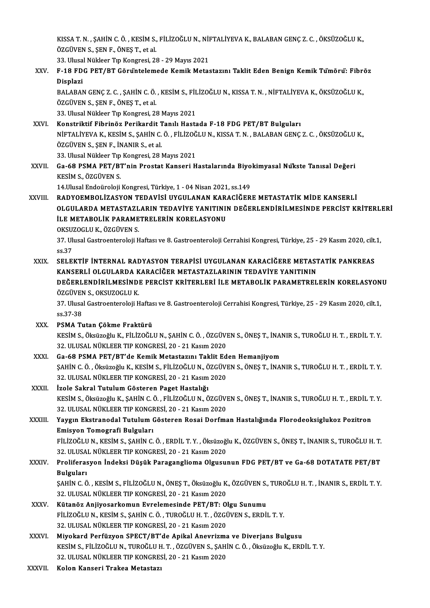KISSA T. N. , ŞAHİN C. Ö. , KESİM S., FİLİZOĞLU N., NİFTALİYEVA K., BALABAN GENÇ Z. C. , ÖKSÜZOĞLU K.,<br>ÖZÇÜYEN S. SEN E. ÖNES T. et el KISSA T. N. , ŞAHİN C. Ö. , KESİM S.,<br>ÖZGÜVEN S., ŞEN F., ÖNEŞ T., et al.<br>22. Ulusal Nüldeer Tr. Kongresi, 23 KISSA T. N. , ŞAHİN C. Ö. , KESİM S., FİLİZOĞLU N., NİH ÖZGÜVEN S., ŞEN F., ÖNEŞ T., et al.<br>33. Ulusal Nükleer Tıp Kongresi, 28 - 29 Mayıs 2021<br>E. 18 EDG PET (PT. Gönüntelemede Komik Metes

33. Ulusal Nükleer Tıp Kongresi, 28 - 29 Mayıs 2021

# ÖZGÜVEN S., ŞEN F., ÖNEŞ T., et al.<br>33. Ulusal Nükleer Tıp Kongresi, 28 - 29 Mayıs 2021<br>XXV. F-18 FDG PET/BT Görüntelemede Kemik Metastazını Taklit Eden Benign Kemik Tümörü: Fibröz<br>Displazi F-18 FDG PET/BT Görüntelemede Kemik Metastazını Taklit Eden Benign Kemik Tümörü: Fibre<br>Displazi<br>BALABAN GENÇ Z. C. ,ŞAHİN C. Ö. , KESİM S., FİLİZOĞLU N., KISSA T. N. , NİFTALİYEVA K., ÖKSÜZOĞLU K.,<br>ÖZCÜVEN S. SEN E. ÖNES T

Displazi<br>BALABAN GENÇ Z. C. , ŞAHİN C. Ö.<br>ÖZGÜVEN S., ŞEN F., ÖNEŞ T., et al.<br>22. Ulucal Nükleer Tır Kongresi, 2. BALABAN GENÇ Z. C. , ŞAHİN C. Ö. , KESİM S., FİL<br>ÖZGÜVEN S., ŞEN F., ÖNEŞ T., et al.<br>33. Ulusal Nükleer Tıp Kongresi, 28 Mayıs 2021<br>Konstriktif Eihrinöz Borikardit Tanılı Hasta ÖZGÜVEN S., ŞEN F., ÖNEŞ T., et al.<br>33. Ulusal Nükleer Tıp Kongresi, 28 Mayıs 2021<br>XXVI. Konstriktif Fibrinöz Perikardit Tanılı Hastada F-18 FDG PET/BT Bulguları

33. Ulusal Nükleer Tıp Kongresi, 28 Mayıs 2021<br>Konstriktif Fibrinöz Perikardit Tanılı Hastada F-18 FDG PET/BT Bulguları<br>NİFTALİYEVA K., KESİM S., ŞAHİN C. Ö. , FİLİZOĞLU N., KISSA T. N. , BALABAN GENÇ Z. C. , ÖKSÜZOĞLU K., Konstriktif Fibrinöz Perikardit 1<br>NİFTALİYEVA K., KESİM S., ŞAHİN C.<br>ÖZGÜVEN S., ŞEN F., İNANIR S., et al.<br><sup>22 Hhugal Nüldeer Tın Kongresi, 28 l</sup> NİFTALİYEVA K., KESİM S., ŞAHİN C. Ö. , FİLİZOĞ<br>ÖZGÜVEN S., ŞEN F., İNANIR S., et al.<br>33. Ulusal Nükleer Tıp Kongresi, 28 Mayıs 2021<br>Ce. 68 BSMA BET (BT'nin Brostat Kansori H ÖZGÜVEN S., ŞEN F., İNANIR S., et al.<br>33. Ulusal Nükleer Tıp Kongresi, 28 Mayıs 2021<br>XXVII. Ga-68 PSMA PET/BT'nin Prostat Kanseri Hastalarında Biyokimyasal Nükste Tanısal Değeri<br>KESİM S. ÖZCÜVEN S

33. Ulusal Nükleer Tıp<br>Ga-68 PSMA PET/B.<br>KESİM S., ÖZGÜVEN S.<br>14 Ulusal Endeüreleli KESİM S., ÖZGÜVEN S.<br>14.Ulusal Endoüroloji Kongresi, Türkiye, 1 - 04 Nisan 2021, ss.149

KESİM S., ÖZGÜVEN S.<br>14.Ulusal Endoüroloji Kongresi, Türkiye, 1 - 04 Nisan 2021, ss.149<br>XXVIII. RADYOEMBOLİZASYON TEDAVİSİ UYGULANAN KARACİĞERE METASTATİK MİDE KANSERLİ<br>OLGULARDA METASTAZI ARIN TEDAVİYE YANITININ DEĞER OLGULARDA METASTAZLARIN TEDAVİYE YANITININ DEĞERLENDİRİLMESİNDE PERCİST KRİTERLERİ<br>İLE METABOLİK PARAMETRELERİN KORELASYONU RADYOEMBOLİZASYON TEDAVİSİ UYGULANAN KAR.<br>OLGULARDA METASTAZLARIN TEDAVİYE YANITINII<br>İLE METABOLİK PARAMETRELERİN KORELASYONU<br>OKSUZOCLU K. ÖZGÜYEN S OKSUZOGLUK.,ÖZGÜVENS. İLE METABOLİK PARAMETRELERİN KORELASYONU<br>OKSUZOGLU K., ÖZGÜVEN S.<br>37. Ulusal Gastroenteroloji Haftası ve 8. Gastroenteroloji Cerrahisi Kongresi, Türkiye, 25 - 29 Kasım 2020, cilt.1,

OKSU<mark>:</mark><br>37. Ul<br>ss.37<br>sel e 37. Ulusal Gastroenteroloji Haftası ve 8. Gastroenteroloji Cerrahisi Kongresi, Türkiye, 25 - 29 Kasım 2020, cilt.<br>SELEKTİF İNTERNAL RADYASYON TERAPİSİ UYGULANAN KARACİĞERE METASTATİK PANKREAS<br>KANSERLİ OLGULARDA KARACİĞER M

ss.37<br>SELEKTİF İNTERNAL RADYASYON TERAPİSİ UYGULANAN KARACİĞERE METASTATİK PANKREAS SELEKTİF İNTERNAL RADYASYON TERAPİSİ UYGULANAN KARACİĞERE METASTATİK PANKREAS<br>KANSERLİ OLGULARDA KARACİĞER METASTAZLARININ TEDAVİYE YANITININ<br>DEĞERLENDİRİLMESİNDE PERCİST KRİTERLERİ İLE METABOLİK PARAMETRELERİN KORELASYONU KANSERLİ OLGULARDA KARACIĞER METASTAZLARININ TEDAVIYE YANITININ<br>DEĞERLENDIRILMESINDE PERCIST KRITERLERI İLE METABOLIK PARAMETRELERIN KORELASYON<br>ÖZGÜVEN S., OKSUZOGLU K.<br>37. Ulusal Gastroenteroloji Haftası ve 8. Gastroenter DEĞERLENDİRİLMESİNDE PERCİST KRİTERLERİ İLE METABOLİK PARAMETRELERİN KORELASYON<br>ÖZGÜVEN S., OKSUZOGLU K.<br>37. Ulusal Gastroenteroloji Haftası ve 8. Gastroenteroloji Cerrahisi Kongresi, Türkiye, 25 - 29 Kasım 2020, cilt.1,<br>9 ÖZGÜVEN S., OKSUZOGLU K.<br>37. Ulusal Gastroenteroloji H<br>ss.37-38

XXX. PSMA Tutan Çökme Fraktürü ss.37-38<br>PSMA Tutan Çökme Fraktürü<br>KESİM S., Öksüzoğlu K., FİLİZOĞLU N., ŞAHİN C. Ö. , ÖZGÜVEN S., ÖNEŞ T., İNANIR S., TUROĞLU H. T. , ERDİL T. Y<br>22. HULISAL NÜKLEER TIR KONCRESİ, 20., 21 Kasım 2020 PSMA Tutan Çökme Fraktürü<br>KESİM S., Öksüzoğlu K., FİLİZOĞLU N., ŞAHİN C. Ö. , ÖZGÜVI<br>32. ULUSAL NÜKLEER TIP KONGRESİ, 20 - 21 Kasım 2020<br>Ce 68 PSMA PET/PT'de Komik Metastarını Taklit Ed KESİM S., Öksüzoğlu K., FİLİZOĞLU N., ŞAHİN C. Ö. , ÖZGÜVEN S., ÖNEŞ T., İNAI<br>32. ULUSAL NÜKLEER TIP KONGRESİ, 20 - 21 Kasım 2020<br>XXXI. 6a-68 PSMA PET/BT'de Kemik Metastazını Taklit Eden Hemanjiyom<br>SAHİN G. Ö. Ölmüzeğlu K.

32. ULUSAL NÜKLEER TIP KONGRESİ, 20 - 21 Kasım 2020<br>Ga-68 PSMA PET/BT'de Kemik Metastazını Taklit Eden Hemanjiyom<br>ŞAHİN C. Ö. , Öksüzoğlu K., KESİM S., FİLİZOĞLU N., ÖZGÜVEN S., ÖNEŞ T., İNANIR S., TUROĞLU H. T. , ERDİL T. Ga-68 PSMA PET/BT'de Kemik Metastazını Taklit Ed<br>ŞAHİN C. Ö. , Öksüzoğlu K., KESİM S., FİLİZOĞLU N., ÖZGÜVI<br>32. ULUSAL NÜKLEER TIP KONGRESİ, 20 - 21 Kasım 2020<br>İrala Sakral Tutulum Göstaran Bazat Hastalığı ŞAHİN C. Ö. , Öksüzoğlu K., KESİM S., FİLİZOĞLU N., Ö.<br>32. ULUSAL NÜKLEER TIP KONGRESİ, 20 - 21 Kasım<br>XXXII. Katalığı Kakral Tutulum Gösteren Paget Hastalığı

### 32. ULUSAL NÜKLEER TIP KONGRESİ, 20 - 21 Kasım 2020<br>İzole Sakral Tutulum Gösteren Paget Hastalığı<br>KESİM S., Öksüzoğlu K., ŞAHİN C. Ö. , FİLİZOĞLU N., ÖZGÜVEN S., ÖNEŞ T., İNANIR S., TUROĞLU H. T. , ERDİL T. Y<br>22. ULUSAL NÜ İzole Sakral Tutulum Gösteren Paget Hastalığı<br>KESİM S., Öksüzoğlu K., ŞAHİN C. Ö. , FİLİZOĞLU N., ÖZGÜVI<br>32. ULUSAL NÜKLEER TIP KONGRESİ, 20 - 21 Kasım 2020<br>Yavgın Ekstranodal Tutulum Gösteren Bassi Darfme 32. ULUSAL NÜKLEER TIP KONGRESİ, 20 - 21 Kasım 2020<br>XXXIII. Yaygın Ekstranodal Tutulum Gösteren Rosai Dorfman Hastalığında Florodeoksiglukoz Pozitron

Emisyon Tomografi Bulguları Yaygın Ekstranodal Tutulum Gösteren Rosai Dorfman Hastalığında Florodeoksiglukoz Pozitron<br>Emisyon Tomografi Bulguları<br>FİLİZOĞLU N., KESİM S., ŞAHİN C. Ö. , ERDİL T. Y. , Öksüzoğlu K., ÖZGÜVEN S., ÖNEŞ T., İNANIR S., TUROĞL Emisyon Tomografi Bulguları<br>FİLİZOĞLU N., KESİM S., ŞAHİN C. Ö. , ERDİL T. Y. , Öksüzoğl<br>32. ULUSAL NÜKLEER TIP KONGRESİ, 20 - 21 Kasım 2020<br>Proliforasyon İndeksi Düşük Paragangliama Olgucu

## FİLİZOĞLU N., KESİM S., ŞAHİN C. Ö. , ERDİL T. Y. , Öksüzoğlu K., ÖZGÜVEN S., ÖNEŞ T., İNANIR S., TUROĞLU H. T.<br>32. ULUSAL NÜKLEER TIP KONGRESİ, 20 - 21 Kasım 2020<br>XXXIV. Proliferasyon İndeksi Düşük Paraganglioma Olgus 32. ULUSA<br><mark>Proliferas</mark><br>Bulguları<br>SAHİN G.Ö Proliferasyon İndeksi Düşük Paraganglioma Olgusunun FDG PET/BT ve Ga-68 DOTATATE PET/BT<br>Bulguları<br>ŞAHİN C. Ö. , KESİM S., FİLİZOĞLU N., ÖNEŞ T., Öksüzoğlu K., ÖZGÜVEN S., TUROĞLU H. T. , İNANIR S., ERDİL T. Y<br>22 HI USAL NÜ

Bulguları<br>ŞAHİN C. Ö. , KESİM S., FİLİZOĞLU N., ÖNEŞ T., Öksüzoğlu K.<br>32. ULUSAL NÜKLEER TIP KONGRESİ, 20 - 21 Kasım 2020<br>Kütanöz Aniiyosarkamun Evrolamasında PET/PT. Ol SAHİN C. Ö. , KESİM S., FİLİZOĞLU N., ÖNEŞ T., Öksüzoğlu K., ÖZGÜVEN S.<br>32. ULUSAL NÜKLEER TIP KONGRESİ, 20 - 21 Kasım 2020<br>XXXV. Kütanöz Anjiyosarkomun Evrelemesinde PET/BT: Olgu Sunumu<br>EU İZOĞLU N. KESİM S. SAHİN G.

- 32. ULUSAL NÜKLEER TIP KONGRESİ, 20 21 Kasım 2020<br>Kütanöz Anjiyosarkomun Evrelemesinde PET/BT: Olgu Sunumu<br>FİLİZOĞLU N., KESİM S., SAHİN C. Ö. , TUROĞLU H. T. , ÖZGÜVEN S., ERDİL T. Y. 32.ULUSALNÜKLEERTIPKONGRESİ,20 -21Kasım2020 FİLİZOĞLU N., KESİM S., ŞAHİN C. Ö. , TUROĞLU H. T. , ÖZGÜVEN S., ERDİL T. Y.<br>32. ULUSAL NÜKLEER TIP KONGRESİ, 20 - 21 Kasım 2020<br>XXXVI. Miyokard Perfüzyon SPECT/BT'de Apikal Anevrizma ve Diverjans Bulgusu<br>XESİM S. ELI İZO
- KESİM S., FİLİZOĞLU N., TUROĞLU H. T. , ÖZGÜVEN S., ŞAHİN C. Ö. , Öksüzoğlu K., ERDİL T. Y.<br>32. ULUSAL NÜKLEER TIP KONGRESİ, 20 21 Kasım 2020 Miyokard Perfüzyon SPECT/BT'de Apikal Anevrizma<br>KESİM S., FİLİZOĞLU N., TUROĞLU H. T. , ÖZGÜVEN S., ŞAHİ<br>32. ULUSAL NÜKLEER TIP KONGRESİ, 20 - 21 Kasım 2020<br>Kelen Kansari Traksa Matastarı
- XXXVII. Kolon Kanseri Trakea Metastazı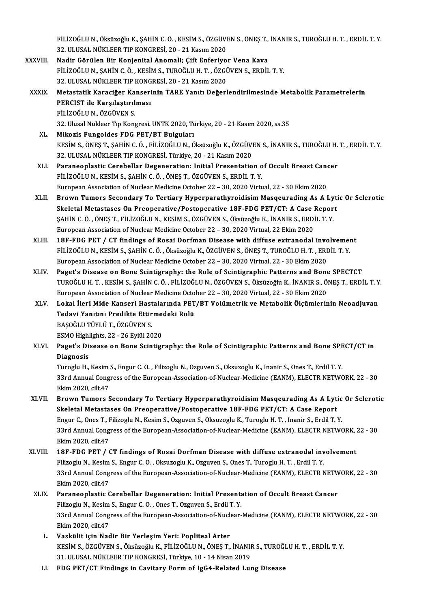FİLİZOĞLU N., Öksüzoğlu K., ŞAHİN C. Ö. , KESİM S., ÖZGÜVEN S., ÖNEŞ T., İNANIR S., TUROĞLU H. T. , ERDİL T. Y.<br>22. HUSAL NÜKLEER TIR KONGRESİ, 20., 21 Kasım 2020 FİLİZOĞLU N., Öksüzoğlu K., ŞAHİN C. Ö. , KESİM S., ÖZGÜVI<br>32. ULUSAL NÜKLEER TIP KONGRESİ, 20 - 21 Kasım 2020<br>Nadir Görülen Bir Kanienital Anemali, Gift Enferive FİLİZOĞLU N., Öksüzoğlu K., ŞAHİN C. Ö., KESİM S., ÖZGÜVEN S., ÖNEŞ T.,<br>32. ULUSAL NÜKLEER TIP KONGRESİ, 20 - 21 Kasım 2020<br>XXXVIII. Nadir Görülen Bir Konjenital Anomali; Çift Enferiyor Vena Kava<br>ELİZOĞLU N. SAHİN G. Ö., K 32. ULUSAL NÜKLEER TIP KONGRESİ, 20 - 21 Kasım 2020<br>Nadir Görülen Bir Konjenital Anomali; Çift Enferiyor Vena Kava<br>FİLİZOĞLU N., ŞAHİN C.Ö., KESİM S., TUROĞLU H. T., ÖZGÜVEN S., ERDİL T.Y.<br>32. ULUSAL NÜKLEER TIP KONGRESİ, Nadir Görülen Bir Konjenital Anomali; Çift Enferiyor Vena Kava XXXIX. Metastatik Karaciğer Kanserinin TARE Yanıtı Değerlendirilmesinde Metabolik Parametrelerin 32. ULUSAL NÜKLEER TIP KONG<br>Metastatik Karaciğer Kanseri<br>PERCIST ile Karşılaştırılması<br>FilizOčlu N. ÖZCÜVEN S Metastatik Karaciğer Ka<br>PERCIST ile Karşılaştırıl<br>FİLİZOĞLU N., ÖZGÜVEN S.<br><sup>22. Hlucal Nükleer Tın Ken</sup> FİLİZOĞLU N., ÖZGÜVEN S.<br>32. Ulusal Nükleer Tıp Kongresi. UNTK 2020, Türkiye, 20 - 21 Kasım 2020, ss.35 XL. Mikozis Fungoides FDG PET/BT Bulguları 32. Ulusal Nükleer Tıp Kongresi. UNTK 2020, Türkiye, 20 - 21 Kasım 2020, ss.35<br>Mikozis Fungoides FDG PET/BT Bulguları<br>KESİM S., ÖNEŞ T., ŞAHİN C. Ö. , FİLİZOĞLU N., Öksüzoğlu K., ÖZGÜVEN S., İNANIR S., TUROĞLU H. T. , ERDİ Mikozis Fungoides FDG PET/BT Bulguları<br>KESİM S., ÖNEŞ T., ŞAHİN C. Ö. , FİLİZOĞLU N., Öksüzoğlu K., ÖZGÜV!<br>32. ULUSAL NÜKLEER TIP KONGRESİ, Türkiye, 20 - 21 Kasım 2020<br>Paranoonlastis Gerebellar Deseneration: Initial Presen 32. ULUSAL NÜKLEER TIP KONGRESİ, Türkiye, 20 - 21 Kasım 2020<br>XLI. Paraneoplastic Cerebellar Degeneration: Initial Presentation of Occult Breast Cancer FİLİZOĞLUN.,KESİMS.,ŞAHİNC.Ö. ,ÖNEŞT.,ÖZGÜVENS.,ERDİL T.Y. Paraneoplastic Cerebellar Degeneration: Initial Presentation of Occult Breast Canonic Initial States (Canonic<br>Filizoğlu N., KESİM S., ŞAHİN C. Ö. , ÖNEŞ T., ÖZGÜVEN S., ERDİL T. Y.<br>European Association of Nuclear Medicine FILIZOĞLU N., KESİM S., ŞAHİN C. Ö. , ÖNEŞ T., ÖZGÜVEN S., ERDİL T. Y.<br>European Association of Nuclear Medicine October 22 – 30, 2020 Virtual, 22 - 30 Ekim 2020<br>XLII. Brown Tumors Secondary To Tertiary Hyperparathyroidisim European Association of Nuclear Medicine October 22 – 30, 2020 Virtual, 22 - 30 Ekim 2020<br>Brown Tumors Secondary To Tertiary Hyperparathyroidisim Masqeurading As A Lyti<br>Skeletal Metastases On Preoperative/Postoperative 18F Brown Tumors Secondary To Tertiary Hyperparathyroidisim Masqeurading As A Ly<br>Skeletal Metastases On Preoperative/Postoperative 18F-FDG PET/CT: A Case Repor<br>ŞAHİN C. Ö. , ÖNEŞ T., FİLİZOĞLU N., KESİM S., ÖZGÜVEN S., Öksüzoğ Skeletal Metastases On Preoperative/Postoperative 18F-FDG PET/CT: A Case Report<br>ŞAHİN C. Ö. , ÖNEŞ T., FİLİZOĞLU N., KESİM S., ÖZGÜVEN S., Öksüzoğlu K., İNANIR S., ERDİL T. Y.<br>European Association of Nuclear Medicine Octob SAHIN C. Ö., ÖNES T., FILIZOĞLU N., KESIM S., ÖZGÜVEN S., Öksüzoğlu K., İNANIR S., ERDİL T. Y.<br>European Association of Nuclear Medicine October 22 – 30, 2020 Virtual, 22 Ekim 2020<br>XLIII. 18F-FDG PET / CT findings of Rosai European Association of Nuclear Medicine October 22 – 30, 2020 Virtual, 22 Ekim 2020<br>18F-FDG PET / CT findings of Rosai Dorfman Disease with diffuse extranodal involvement<br>FILİZOĞLU N., KESİM S., ŞAHİN C. Ö. , Öksüzoğlu K. 18F-FDG PET / CT findings of Rosai Dorfman Disease with diffuse extranodal invo<br>FILIZOĞLU N., KESİM S., ŞAHİN C. Ö. , Öksüzoğlu K., ÖZGÜVEN S., ÖNEŞ T., TUROĞLU H. T. , ERI<br>European Association of Nuclear Medicine October FILIZOĞLU N., KESIM S., ŞAHIN C. Ö., Öksüzoğlu K., ÖZGÜVEN S., ÖNEŞ T., TUROĞLU H. T., ERDİL T. Y.<br>European Association of Nuclear Medicine October 22 – 30, 2020 Virtual, 22 - 30 Ekim 2020<br>XLIV. Paget's Disease on Bone Sci European Association of Nuclear Medicine October 22 – 30, 2020 Virtual, 22 - 30 Ekim 2020<br>Paget's Disease on Bone Scintigraphy: the Role of Scintigraphic Patterns and Bone SPECTCT<br>TUROĞLU H. T., KESİM S., ŞAHİN C.Ö., FİLİZ Paget's Disease on Bone Scintigraphy: the Role of Scintigraphic Patterns and Bone<br>TUROĞLU H. T. , KESİM S., ŞAHİN C. Ö. , FİLİZOĞLU N., ÖZGÜVEN S., Öksüzoğlu K., İNANIR S., Ö.<br>European Association of Nuclear Medicine Octob TUROĞLU H. T. , KESİM S., ŞAHİN C. Ö. , FİLİZOĞLU N., ÖZGÜVEN S., Öksüzoğlu K., İNANIR S., ÖNEŞ T., ERDİL T. Y<br>European Association of Nuclear Medicine October 22 – 30, 2020 Virtual, 22 - 30 Ekim 2020<br>XLV. Lokal İleri European Association of Nuclear Medicine Octo<br>Lokal İleri Mide Kanseri Hastalarında PET<br>Tedavi Yanıtını Predikte Ettirmedeki Rolü<br>PASOČLU TÜVLÜ T. ÖZCÜVEN S Lokal İleri Mide Kanseri Hast<br>Tedavi Yanıtını Predikte Ettir<br>BAŞOĞLU TÜYLÜ T., ÖZGÜVEN S.<br>ESMO Highlighte 22, 26 Evlül 20 Tedavi Yanıtını Predikte Ettirme<br>BAŞOĞLU TÜYLÜ T., ÖZGÜVEN S.<br>ESMO Highlights, 22 - 26 Eylül 2020<br>Pagat's Disease en Bene Scintist BAŞOĞLU TÜYLÜ T., ÖZGÜVEN S.<br>ESMO Highlights, 22 - 26 Eylül 2020<br>XLVI. Paget's Disease on Bone Scintigraphy: the Role of Scintigraphic Patterns and Bone SPECT/CT in<br>Diagnosis ESMO Highl<br>Paget's Di<br>Diagnosis<br>Turech: H Paget's Disease on Bone Scintigraphy: the Role of Scintigraphic Patterns and Bone SPE<br>Diagnosis<br>Turoglu H., Kesim S., Engur C. O. , Filizoglu N., Ozguven S., Oksuzoglu K., Inanir S., Ones T., Erdil T. Y.<br>22nd Annual Congre Diagnosis<br>Turoglu H., Kesim S., Engur C. O. , Filizoglu N., Ozguven S., Oksuzoglu K., Inanir S., Ones T., Erdil T. Y.<br>33rd Annual Congress of the European-Association-of-Nuclear-Medicine (EANM), ELECTR NETWORK, 22 - 30<br>Fli Turoglu H., Kesim<br>33rd Annual Cong<br>Ekim 2020, cilt.47<br>Prourn Tumors S 33rd Annual Congress of the European-Association-of-Nuclear-Medicine (EANM), ELECTR NETWORK, 22 - 30<br>Ekim 2020, cilt.47<br>XLVII. Brown Tumors Secondary To Tertiary Hyperparathyroidisim Masqeurading As A Lytic Or Sclerotic<br>Sk Ekim 2020, cilt.47<br>Brown Tumors Secondary To Tertiary Hyperparathyroidisim Masqeurading As A Lyti<br>Skeletal Metastases On Preoperative/Postoperative 18F-FDG PET/CT: A Case Report<br>Fraur C. Ores T. Filipesly N. Kesim S. Ozawe Brown Tumors Secondary To Tertiary Hyperparathyroidisim Masqeurading As A Lytic<br>Skeletal Metastases On Preoperative/Postoperative 18F-FDG PET/CT: A Case Report<br>Engur C., Ones T., Filizoglu N., Kesim S., Ozguven S., Oksuzog Skeletal Metastases On Preoperative/Postoperative 18F-FDG PET/CT: A Case Report<br>Engur C., Ones T., Filizoglu N., Kesim S., Ozguven S., Oksuzoglu K., Turoglu H. T. , Inanir S., Erdil T. Y.<br>33rd Annual Congress of the Europe Engur C., Ones T., F<br>33rd Annual Cong<br>Ekim 2020, cilt.47<br>19E EDC PET / 0 33rd Annual Congress of the European-Association-of-Nuclear-Medicine (EANM), ELECTR NETWORK, <br>Ekim 2020, cilt.47<br>XLVIII. 18F-FDG PET / CT findings of Rosai Dorfman Disease with diffuse extranodal involvement<br>Eilizedu N. Ke Ekim 2020, cilt.47<br>18F-FDG PET / CT findings of Rosai Dorfman Disease with diffuse extranodal involvement<br>Filizoglu N., Kesim S., Engur C. O. , Oksuzoglu K., Ozguven S., Ones T., Turoglu H. T. , Erdil T. Y. 18F-FDG PET / CT findings of Rosai Dorfman Disease with diffuse extranodal involvement<br>Filizoglu N., Kesim S., Engur C. O. , Oksuzoglu K., Ozguven S., Ones T., Turoglu H. T. , Erdil T. Y.<br>33rd Annual Congress of the Europe Filizoglu N., Kesim<br>33rd Annual Cong<br>Ekim 2020, cilt.47<br>Paranoonlastis C 33rd Annual Congress of the European-Association-of-Nuclear-Medicine (EANM), ELECTR NETW<br>Ekim 2020, cilt.47<br>XLIX. Paraneoplastic Cerebellar Degeneration: Initial Presentation of Occult Breast Cancer<br>Ethinogly N. Kesim S. E Ekim 2020, cilt.47<br>Paraneoplastic Cerebellar Degeneration: Initial Presentation of Occult Breast Cancer<br>Filizoglu N., Kesim S., Engur C. O. , Ones T., Ozguven S., Erdil T. Y. 33rd Annual Congress of the European-Association-of-Nuclear-Medicine (EANM), ELECTR NETWORK, 22 - 30 Ekim2020, cilt.47 L. Vaskülit için Nadir Bir YerleşimYeri: Popliteal Arter Ekim 2020, cilt.47<br>Vaskülit için Nadir Bir Yerleşim Yeri: Popliteal Arter<br>KESİM S., ÖZGÜVEN S., Öksüzoğlu K., FİLİZOĞLU N., ÖNEŞ T., İNANIR S., TUROĞLU H. T. , ERDİL T. Y.<br>21. HULISAL NÜKLEER TIR KONGRESİ Türkiye 10, 14 Ni Vaskülit için Nadir Bir Yerleşim Yeri: Popliteal Arter<br>KESİM S., ÖZGÜVEN S., Öksüzoğlu K., FİLİZOĞLU N., ÖNEŞ T., İNANII<br>31. ULUSAL NÜKLEER TIP KONGRESİ, Türkiye, 10 - 14 Nisan 2019<br>EDC BET/CT Eindings in Cavitany Form of 31. ULUSAL NÜKLEER TIP KONGRESİ, Türkiye, 10 - 14 Nisan 2019<br>LI. FDG PET/CT Findings in Cavitary Form of IgG4-Related Lung Disease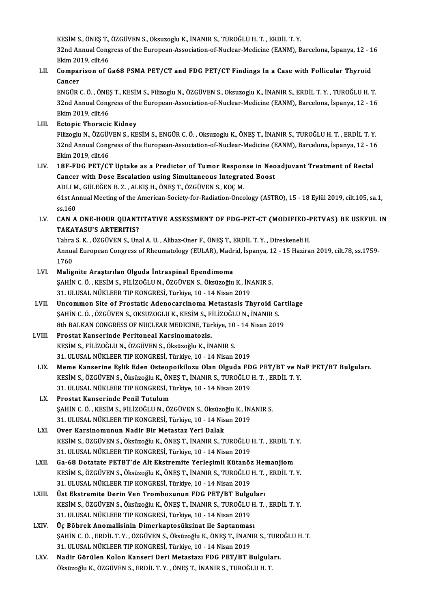KESİM S., ÖNEŞ T., ÖZGÜVEN S., Oksuzoglu K., İNANIR S., TUROĞLU H. T. , ERDİL T. Y.<br>22nd Annual Congress of the European Association of Nuclear Medicine (FANM), P

32nd Annual Congress of the European-Association-of-Nuclear-Medicine (EANM), Barcelona, İspanya, 12 - 16<br>Ekim 2019, cilt.46 KESİM S., ÖNEŞ T.,<br>32nd Annual Cong<br>Ekim 2019, cilt.46<br>Comporison of C 32nd Annual Congress of the European-Association-of-Nuclear-Medicine (EANM), Barcelona, İspanya, 12 - 1<br>Ekim 2019, cilt.46<br>LII. Comparison of Ga68 PSMA PET/CT and FDG PET/CT Findings In a Case with Follicular Thyroid

# Ekim 20<br>Compai<br>Cancer<br>ENCÜP (

Cancer<br>ENGÜR C. Ö. , ÖNEŞ T., KESİM S., Filizoglu N., ÖZGÜVEN S., Oksuzoglu K., İNANIR S., ERDİL T. Y. , TUROĞLU H. T Cancer<br>ENGÜR C. Ö. , ÖNEŞ T., KESİM S., Filizoglu N., ÖZGÜVEN S., Oksuzoglu K., İNANIR S., ERDİL T. Y. , TUROĞLU H. T<br>32nd Annual Congress of the European-Association-of-Nuclear-Medicine (EANM), Barcelona, İspanya, 12 - 16 ENGÜR C. Ö. , ÖNES<br>32nd Annual Cong<br>Ekim 2019, cilt.46<br>Estonis Thorasis

Ekim 2019, cilt.46<br>LIII. Ectopic Thoracic Kidney

Ekim 2019, cilt.46<br><mark>Ectopic Thoracic Kidney</mark><br>Filizoglu N., ÖZGÜVEN S., KESİM S., ENGÜR C. Ö. , Oksuzoglu K., ÖNEŞ T., İNANIR S., TUROĞLU H. T. , ERDİL T. Y.<br>22nd Annual Congress of the European Assesistion of Nuclear Medis Ectopic Thoracic Kidney<br>Filizoglu N., ÖZGÜVEN S., KESİM S., ENGÜR C. Ö. , Oksuzoglu K., ÖNEŞ T., İNANIR S., TUROĞLU H. T. , ERDİL T. Y<br>32nd Annual Congress of the European-Association-of-Nuclear-Medicine (EANM), Barcelona, Filizoglu N., ÖZGÜ<mark>\</mark><br>32nd Annual Cong<br>Ekim 2019, cilt.46<br>19E EDC PET/C<sup>1</sup> 32nd Annual Congress of the European-Association-of-Nuclear-Medicine (EANM), Barcelona, İspanya, 12 - 16<br>Ekim 2019, cilt.46<br>LIV. 18F-FDG PET/CT Uptake as a Predictor of Tumor Response in Neoadjuvant Treatment of Rectal

Ekim 2019, cilt.46<br>18F-FDG PET/CT Uptake as a Predictor of Tumor Response in Neo<br>Cancer with Dose Escalation using Simultaneous Integrated Boost<br>ADLLM, CÜLEČEN P.7., ALVIS H. ÖNES T. ÖZCÜVEN S. VOC M 18F-FDG PET/CT Uptake as a Predictor of Tumor Respon<br>Cancer with Dose Escalation using Simultaneous Integrat<br>ADLI M., GÜLEĞEN B.Z., ALKIŞ H., ÖNEŞ T., ÖZGÜVEN S., KOÇ M.<br>61st Annual Meeting of the American Society for Bedi ADLI M., GÜLEĞEN B. Z., ALKIŞ H., ÖNEŞ T., ÖZGÜVEN S., KOÇ M.

61st Annual Meeting of the American-Society-for-Radiation-Oncology (ASTRO), 15 - 18 Eylül 2019, cilt.105, sa.1, ss.160

61st Annual Meeting of the American-Society-for-Radiation-Oncology (ASTRO), 15 - 18 Eylül 2019, cilt.105, sa.1,<br>ss.160<br>LV. CAN A ONE-HOUR QUANTITATIVE ASSESSMENT OF FDG-PET-CT (MODIFIED-PETVAS) BE USEFUL IN ss.160<br>CAN A ONE-HOUR QUANT<br>TAKAYASU'S ARTERITIS?<br>Tabre S K - ÖZGÜVEN S-Ure CAN A ONE-HOUR QUANTITATIVE ASSESSMENT OF FDG-PET-CT (MODIFIED-F<br>TAKAYASU'S ARTERITIS?<br>Tahra S.K., ÖZGÜVEN S., Unal A.U. , Alibaz-Oner F., ÖNEŞ T., ERDİL T.Y. , Direskeneli H.<br>Annual European Congress of Phoumatology (EULA

TAKAYASU'S ARTERITIS?<br>Tahra S. K. , ÖZGÜVEN S., Unal A. U. , Alibaz-Oner F., ÖNEŞ T., ERDİL T. Y. , Direskeneli H.<br>Annual European Congress of Rheumatology (EULAR), Madrid, İspanya, 12 - 15 Haziran 2019, cilt.78, ss.1759-<br> Tahra<br>Annua<br>1760<br>Malia

- LVI. Malignite Araştırılan Olguda İntraspinal Ependimoma 1760<br>Malignite Araştırılan Olguda İntraspinal Ependimoma<br>ŞAHİN C.Ö., KESİM S., FİLİZOĞLU N., ÖZGÜVEN S., Öksüzoğlu K., İNANIR S.<br>21. HLUSAL NÜKLEER TIR KONGRESİ, Türkiye 10., 14 Nisan 2019. Malignite Araştırılan Olguda İntraspinal Ependimoma<br>ŞAHİN C. Ö. , KESİM S., FİLİZOĞLU N., ÖZGÜVEN S., Öksüzoğlu K., İN.<br>31. ULUSAL NÜKLEER TIP KONGRESİ, Türkiye, 10 - 14 Nisan 2019<br>Ungommon Site of Prestatis Adenesarsinema SAHİN C. Ö. , KESİM S., FİLİZOĞLU N., ÖZGÜVEN S., Öksüzoğlu K., İNANIR S.<br>31. ULUSAL NÜKLEER TIP KONGRESİ, Türkiye, 10 - 14 Nisan 2019<br>LVII. Uncommon Site of Prostatic Adenocarcinoma Metastasis Thyroid Cartilage<br>SAHİN G. Ö
- 31. ULUSAL NÜKLEER TIP KONGRESİ, Türkiye, 10 14 Nisan 2019<br>Uncommon Site of Prostatic Adenocarcinoma Metastasis Thyroid Ca<br>ŞAHİN C. Ö. , ÖZGÜVEN S., OKSUZOGLU K., KESİM S., FİLİZOĞLU N., İNANIR S.<br>9th PALKAN CONCRESS OF Uncommon Site of Prostatic Adenocarcinoma Metastasis Thyroid Cart<br>ŞAHİN C. Ö. , ÖZGÜVEN S., OKSUZOGLU K., KESİM S., FİLİZOĞLU N., İNANIR S.<br>8th BALKAN CONGRESS OF NUCLEAR MEDICINE, Türkiye, 10 - 14 Nisan 2019<br>Prostat Kanso SAHIN C. Ö., ÖZGÜVEN S., OKSUZOGLU K., KESIM S., F.<br>8th BALKAN CONGRESS OF NUCLEAR MEDICINE, Tür<br>LVIII. Prostat Kanserinde Peritoneal Karsinomatozis.<br>ERSIM S. FU IZOČLU N. ÖZGÜVEN S. Öksüzoğlu K. İN

8th BALKAN CONGRESS OF NUCLEAR MEDICINE, Türkiye, 10<br>Prostat Kanserinde Peritoneal Karsinomatozis.<br>KESİM S., FİLİZOĞLU N., ÖZGÜVEN S., Öksüzoğlu K., İNANIR S.<br>21. III USAL NÜKLEER TIR KONGRESİ Türkiye 10., 14 Niser Prostat Kanserinde Peritoneal Karsinomatozis.<br>KESİM S., FİLİZOĞLU N., ÖZGÜVEN S., Öksüzoğlu K., İNANIR S.<br>31. ULUSAL NÜKLEER TIP KONGRESİ, Türkiye, 10 - 14 Nisan 2019

- LIX. Meme Kanserine Eşlik Eden Osteopoikilozu Olan Olguda FDG PET/BT ve NaF PET/BT Bulguları. 31. ULUSAL NÜKLEER TIP KONGRESİ, Türkiye, 10 - 14 Nisan 2019<br>Meme Kanserine Eşlik Eden Osteopoikilozu Olan Olguda FDG PET/BT ve N<br>KESİM S., ÖZGÜVEN S., Öksüzoğlu K., ÖNEŞ T., İNANIR S., TUROĞLU H. T. , ERDİL T. Y.<br>21. ULUS Meme Kanserine Eşlik Eden Osteopoikilozu Olan Olguda FD<br>KESİM S., ÖZGÜVEN S., Öksüzoğlu K., ÖNEŞ T., İNANIR S., TUROĞLU<br>31. ULUSAL NÜKLEER TIP KONGRESİ, Türkiye, 10 - 14 Nisan 2019<br>Prestat Kanserinde Penil Tutulum 31. ULUSAL NÜKLEER TIP KONGRESİ, Türkiye, 10 - 14 Nisan 2019<br>LX. Prostat Kanserinde Penil Tutulum
- ŞAHİNC.Ö. ,KESİMS.,FİLİZOĞLUN.,ÖZGÜVENS.,ÖksüzoğluK., İNANIRS. Prostat Kanserinde Penil Tutulum<br>ŞAHİN C. Ö. , KESİM S., FİLİZOĞLU N., ÖZGÜVEN S., Öksüzoğlu K., İN.<br>31. ULUSAL NÜKLEER TIP KONGRESİ, Türkiye, 10 - 14 Nisan 2019<br>Qver Karsinomunun Nadir Bir Metastar Yori Dalak SAHIN C. Ö. , KESIM S., FILIZOĞLU N., ÖZGÜVEN S., Öksüzo;<br>31. ULUSAL NÜKLEER TIP KONGRESI, Türkiye, 10 - 14 Nis<br>LXI. Over Karsinomunun Nadir Bir Metastaz Yeri Dalak<br>PESIM S. ÖZGÜVEN S. Öksüzoğlu P. ÖNES T. İNANIP S. TI
- 31. ULUSAL NÜKLEER TIP KONGRESİ, Türkiye, 10 14 Nisan 2019<br>Over Karsinomunun Nadir Bir Metastaz Yeri Dalak<br>KESİM S., ÖZGÜVEN S., Öksüzoğlu K., ÖNEŞ T., İNANIR S., TUROĞLU H. T. , ERDİL T. Y.<br>21. ULUSAL NÜKLEER TIR KONCRE Over Karsinomunun Nadir Bir Metastaz Yeri Dalak<br>KESİM S., ÖZGÜVEN S., Öksüzoğlu K., ÖNEŞ T., İNANIR S., TUROĞLU<br>31. ULUSAL NÜKLEER TIP KONGRESİ, Türkiye, 10 - 14 Nisan 2019<br>Ca 68 Detatata BETBT'de Alt Ekstremite Yerlesimli KESİM S., ÖZGÜVEN S., Öksüzoğlu K., ÖNEŞ T., İNANIR S., TUROĞLU H. T. , ERDİL T.<br>31. ULUSAL NÜKLEER TIP KONGRESİ, Türkiye, 10 - 14 Nisan 2019<br>LXII. 60 -68 Dotatate PETBT'de Alt Ekstremite Yerleşimli Kütanöz Hemanjiom<br>KESİM
- 31. ULUSAL NÜKLEER TIP KONGRESİ, Türkiye, 10 14 Nisan 2019<br>Ga-68 Dotatate PETBT'de Alt Ekstremite Yerleşimli Kütanöz Hemanjiom<br>KESİM S., ÖZGÜVEN S., Öksüzoğlu K., ÖNEŞ T., İNANIR S., TUROĞLU H. T. , ERDİL T. Y.<br>21. ULUSA 6a-68 Dotatate PETBT'de Alt Ekstremite Yerleşimli Kütanöz<br>KESİM S., ÖZGÜVEN S., Öksüzoğlu K., ÖNEŞ T., İNANIR S., TUROĞLU<br>31. ULUSAL NÜKLEER TIP KONGRESİ, Türkiye, 10 - 14 Nisan 2019<br>Üst Ekstremite Derin Ven Tremberunun ED KESİM S., ÖZGÜVEN S., Öksüzoğlu K., ÖNEŞ T., İNANIR S., TUROĞLU H. T.<br>31. ULUSAL NÜKLEER TIP KONGRESİ, Türkiye, 10 - 14 Nisan 2019<br>LXIII. Üst Ekstremite Derin Ven Trombozunun FDG PET/BT Bulguları<br>KESİM S. ÖZGÜVEN S. Öksüzo
- 31. ULUSAL NÜKLEER TIP KONGRESİ, Türkiye, 10 14 Nisan 2019<br>Üst Ekstremite Derin Ven Trombozunun FDG PET/BT Bulguları<br>KESİM S., ÖZGÜVEN S., Öksüzoğlu K., ÖNEŞ T., İNANIR S., TUROĞLU H. T. , ERDİL T. Y.<br>31. ULUSAL NÜKLEER Üst Ekstremite Derin Ven Trombozunun FDG PET/BT Bulgu<br>KESİM S., ÖZGÜVEN S., Öksüzoğlu K., ÖNEŞ T., İNANIR S., TUROĞLU<br>31. ULUSAL NÜKLEER TIP KONGRESİ, Türkiye, 10 - 14 Nisan 2019<br>Üe Böhnek Anemalisinin Dimerkantesüksinet i KESİM S., ÖZGÜVEN S., Öksüzoğlu K., ÖNEŞ T., İNANIR S., TUROĞLU H<br>31. ULUSAL NÜKLEER TIP KONGRESİ, Türkiye, 10 - 14 Nisan 2019<br>LXIV. Üç Böbrek Anomalisinin Dimerkaptosüksinat ile Saptanması<br>SAHİN G. Ö. ERDİL T. Y., ÖZGÜVEN
- 31. ULUSAL NÜKLEER TIP KONGRESİ, Türkiye, 10 14 Nisan 2019<br>Üç Böbrek Anomalisinin Dimerkaptosüksinat ile Saptanması<br>ŞAHİN C. Ö. , ERDİL T. Y. , ÖZGÜVEN S., Öksüzoğlu K., ÖNEŞ T., İNANIR S., TUROĞLU H. T.<br>21. ULUSAL NÜKLE Üç Böbrek Anomalisinin Dimerkaptosüksinat ile Saptanmas<br>ŞAHİN C. Ö. , ERDİL T. Y. , ÖZGÜVEN S., Öksüzoğlu K., ÖNEŞ T., İNAN<br>31. ULUSAL NÜKLEER TIP KONGRESİ, Türkiye, 10 - 14 Nisan 2019<br>Nadir Görülen Kolon Kongeri Deri Meta ŞAHİN C. Ö. , ERDİL T. Y. , ÖZGÜVEN S., Öksüzoğlu K., ÖNEŞ T., İNANIR S., TUROVAL NÜKLEER TIP KONGRESİ, Türkiye, 10 - 14 Nisan 2019<br>LXV. Nadir Görülen Kolon Kanseri Deri Metastazı FDG PET/BT Bulguları.<br>Ölgüzeğlu K. ÖZGÜVEN
- 31. ULUSAL NÜKLEER TIP KONGRESİ, Türkiye, 10 14 Nisan 2019<br>Nadir Görülen Kolon Kanseri Deri Metastazı FDG PET/BT Bulguları.<br>Öksüzoğlu K., ÖZGÜVEN S., ERDİL T. Y. , ÖNEŞ T., İNANIR S., TUROĞLU H. T.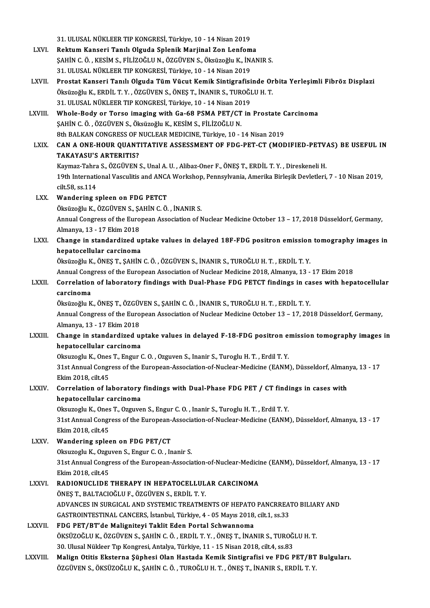|                 | 31. ULUSAL NÜKLEER TIP KONGRESİ, Türkiye, 10 - 14 Nisan 2019                                                   |
|-----------------|----------------------------------------------------------------------------------------------------------------|
| LXVI.           | Rektum Kanseri Tanılı Olguda Splenik Marjinal Zon Lenfoma                                                      |
|                 | ŞAHİN C. Ö., KESİM S., FİLİZOĞLU N., ÖZGÜVEN S., Öksüzoğlu K., İNANIR S.                                       |
|                 | 31. ULUSAL NÜKLEER TIP KONGRESİ, Türkiye, 10 - 14 Nisan 2019                                                   |
| LXVII.          | Prostat Kanseri Tanılı Olguda Tüm Vücut Kemik Sintigrafisinde Orbita Yerleşimli Fibröz Displazi                |
|                 | Öksüzoğlu K., ERDİL T. Y., ÖZGÜVEN S., ÖNEŞ T., İNANIR S., TUROĞLU H. T.                                       |
|                 | 31. ULUSAL NÜKLEER TIP KONGRESİ, Türkiye, 10 - 14 Nisan 2019                                                   |
| LXVIII.         | Whole-Body or Torso imaging with Ga-68 PSMA PET/CT in Prostate Carcinoma                                       |
|                 | ŞAHİN C. Ö. , ÖZGÜVEN S., Öksüzoğlu K., KESİM S., FİLİZOĞLU N.                                                 |
|                 | 8th BALKAN CONGRESS OF NUCLEAR MEDICINE, Türkiye, 10 - 14 Nisan 2019                                           |
| LXIX.           | CAN A ONE-HOUR QUANTITATIVE ASSESSMENT OF FDG-PET-CT (MODIFIED-PETVAS) BE USEFUL IN                            |
|                 | <b>TAKAYASU'S ARTERITIS?</b>                                                                                   |
|                 | Kaymaz-Tahra S., ÖZGÜVEN S., Unal A. U., Alibaz-Oner F., ÖNES T., ERDİL T. Y., Direskeneli H.                  |
|                 | 19th International Vasculitis and ANCA Workshop, Pennsylvania, Amerika Birleşik Devletleri, 7 - 10 Nisan 2019, |
|                 | cilt 58, ss 114                                                                                                |
| LXX.            | Wandering spleen on FDG PETCT                                                                                  |
|                 | Öksüzoğlu K., ÖZGÜVEN S., ŞAHİN C. Ö., İNANIR S.                                                               |
|                 | Annual Congress of the European Association of Nuclear Medicine October 13 - 17, 2018 Düsseldorf, Germany,     |
|                 | Almanya, 13 - 17 Ekim 2018                                                                                     |
| LXXI.           | Change in standardized uptake values in delayed 18F-FDG positron emission tomography images in                 |
|                 | hepatocellular carcinoma                                                                                       |
|                 | Öksüzoğlu K., ÖNEŞ T., ŞAHİN C. Ö. , ÖZGÜVEN S., İNANIR S., TUROĞLU H. T. , ERDİL T. Y.                        |
|                 | Annual Congress of the European Association of Nuclear Medicine 2018, Almanya, 13 - 17 Ekim 2018               |
| <b>LXXII</b>    | Correlation of laboratory findings with Dual-Phase FDG PETCT findings in cases with hepatocellular             |
|                 | carcinoma                                                                                                      |
|                 | Öksüzoğlu K., ÖNEŞ T., ÖZGÜVEN S., ŞAHİN C. Ö. , İNANIR S., TUROĞLU H. T. , ERDİL T. Y.                        |
|                 | Annual Congress of the European Association of Nuclear Medicine October 13 - 17, 2018 Düsseldorf, Germany,     |
|                 | Almanya, 13 - 17 Ekim 2018                                                                                     |
| LXXIII.         | Change in standardized uptake values in delayed F-18-FDG positron emission tomography images in                |
|                 | hepatocellular carcinoma                                                                                       |
|                 | Oksuzoglu K., Ones T., Engur C. O., Ozguven S., Inanir S., Turoglu H. T., Erdil T. Y.                          |
|                 | 31st Annual Congress of the European-Association-of-Nuclear-Medicine (EANM), Düsseldorf, Almanya, 13 - 17      |
|                 | Ekim 2018, cilt.45                                                                                             |
| <b>LXXIV</b>    | Correlation of laboratory findings with Dual-Phase FDG PET / CT findings in cases with                         |
|                 | hepatocellular carcinoma                                                                                       |
|                 | Oksuzoglu K., Ones T., Ozguven S., Engur C. O., Inanir S., Turoglu H. T., Erdil T. Y.                          |
|                 | 31st Annual Congress of the European-Association-of-Nuclear-Medicine (EANM), Düsseldorf, Almanya, 13 - 17      |
|                 | Ekim 2018, cilt.45                                                                                             |
| LXXV.           | Wandering spleen on FDG PET/CT                                                                                 |
|                 | Oksuzoglu K., Ozguven S., Engur C. O., Inanir S.                                                               |
|                 | 31st Annual Congress of the European-Association-of-Nuclear-Medicine (EANM), Düsseldorf, Almanya, 13 - 17      |
|                 | Ekim 2018, cilt 45                                                                                             |
| <b>LXXVI</b>    | RADIONUCLIDE THERAPY IN HEPATOCELLULAR CARCINOMA                                                               |
|                 | ÖNEŞ T., BALTACIOĞLU F., ÖZGÜVEN S., ERDİL T. Y.                                                               |
|                 | ADVANCES IN SURGICAL AND SYSTEMIC TREATMENTS OF HEPATO PANCRREATO BILIARY AND                                  |
|                 | GASTROINTESTINAL CANCERS, İstanbul, Türkiye, 4 - 05 Mayıs 2018, cilt.1, ss.33                                  |
| <b>LXXVII</b> . | FDG PET/BT'de Maligniteyi Taklit Eden Portal Schwannoma                                                        |
|                 | ÖKSÜZOĞLU K., ÖZGÜVEN S., ŞAHİN C. Ö., ERDİL T. Y., ÖNEŞ T., İNANIR S., TUROĞLU H. T.                          |
|                 | 30. Ulusal Nükleer Tıp Kongresi, Antalya, Türkiye, 11 - 15 Nisan 2018, cilt.4, ss.83                           |
| LXXVIII.        | Malign Otitis Eksterna Şüphesi Olan Hastada Kemik Sintigrafisi ve FDG PET/BT Bulguları.                        |
|                 | ÖZGÜVEN S., ÖKSÜZOĞLU K., ŞAHİN C. Ö. , TUROĞLU H. T. , ÖNEŞ T., İNANIR S., ERDİL T. Y.                        |
|                 |                                                                                                                |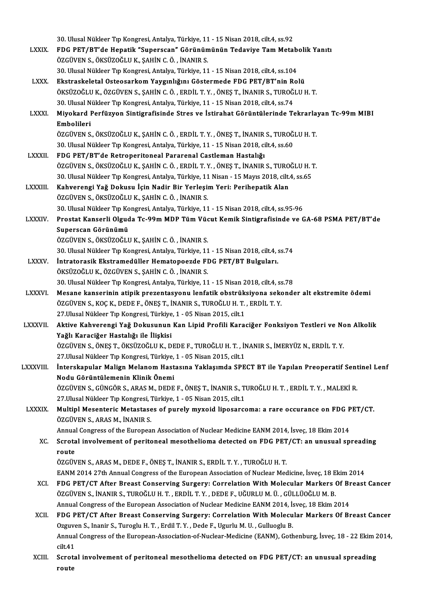|                 | 30. Ulusal Nükleer Tıp Kongresi, Antalya, Türkiye, 11 - 15 Nisan 2018, cilt.4, ss.92                                                                                                                    |
|-----------------|---------------------------------------------------------------------------------------------------------------------------------------------------------------------------------------------------------|
| <b>LXXIX</b>    | FDG PET/BT'de Hepatik "Superscan" Görünümünün Tedaviye Tam Metabolik Yanıtı                                                                                                                             |
|                 | ÖZGÜVEN S., ÖKSÜZOĞLU K., ŞAHİN C. Ö., İNANIR S.                                                                                                                                                        |
|                 | 30. Ulusal Nükleer Tıp Kongresi, Antalya, Türkiye, 11 - 15 Nisan 2018, cilt.4, ss.104                                                                                                                   |
| <b>LXXX</b>     | Ekstraskeletal Osteosarkom Yaygınlığını Göstermede FDG PET/BT'nin Rolü                                                                                                                                  |
|                 | ÖKSÜZOĞLU K., ÖZGÜVEN S., ŞAHİN C. Ö., ERDİL T. Y., ÖNEŞ T., İNANIR S., TUROĞLU H. T.                                                                                                                   |
| <b>LXXXI</b>    | 30. Ulusal Nükleer Tıp Kongresi, Antalya, Türkiye, 11 - 15 Nisan 2018, cilt.4, ss.74<br>Miyokard Perfüzyon Sintigrafisinde Stres ve İstirahat Görüntülerinde Tekrarlayan Tc-99m MIBI                    |
|                 | Embolileri                                                                                                                                                                                              |
|                 | ÖZGÜVEN S., ÖKSÜZOĞLU K., ŞAHİN C. Ö., ERDİL T. Y., ÖNEŞ T., İNANIR S., TUROĞLU H. T.                                                                                                                   |
|                 | 30. Ulusal Nükleer Tıp Kongresi, Antalya, Türkiye, 11 - 15 Nisan 2018, cilt.4, ss.60                                                                                                                    |
| <b>LXXXII</b>   | FDG PET/BT'de Retroperitoneal Pararenal Castleman Hastalığı                                                                                                                                             |
|                 | ÖZGÜVEN S., ÖKSÜZOĞLU K., ŞAHİN C. Ö. , ERDİL T. Y. , ÖNEŞ T., İNANIR S., TUROĞLU H. T.                                                                                                                 |
|                 | 30. Ulusal Nükleer Tıp Kongresi, Antalya, Türkiye, 11 Nisan - 15 Mayıs 2018, cilt.4, ss.65                                                                                                              |
| <b>LXXXIII.</b> | Kahverengi Yağ Dokusu İçin Nadir Bir Yerleşim Yeri: Perihepatik Alan                                                                                                                                    |
|                 | ÖZGÜVEN S., ÖKSÜZOĞLU K., ŞAHİN C. Ö., İNANIR S.                                                                                                                                                        |
|                 | 30. Ulusal Nükleer Tıp Kongresi, Antalya, Türkiye, 11 - 15 Nisan 2018, cilt.4, ss.95-96                                                                                                                 |
| <b>LXXXIV</b>   | Prostat Kanserli Olguda Tc-99m MDP Tüm Vücut Kemik Sintigrafisinde ve GA-68 PSMA PET/BT'de                                                                                                              |
|                 | Superscan Görünümü<br>ÖZGÜVEN S., ÖKSÜZOĞLU K., ŞAHİN C. Ö., İNANIR S.                                                                                                                                  |
|                 | 30. Ulusal Nükleer Tıp Kongresi, Antalya, Türkiye, 11 - 15 Nisan 2018, cilt.4, ss.74                                                                                                                    |
| <b>LXXXV.</b>   | İntratorasik Ekstramedüller Hematopoezde FDG PET/BT Bulguları.                                                                                                                                          |
|                 | ÖKSÜZOĞLU K., ÖZGÜVEN S., ŞAHİN C. Ö., İNANIR S.                                                                                                                                                        |
|                 | 30. Ulusal Nükleer Tıp Kongresi, Antalya, Türkiye, 11 - 15 Nisan 2018, cilt.4, ss.78                                                                                                                    |
| <b>LXXXVI</b>   | Mesane kanserinin atipik prezentasyonu lenfatik obstrüksiyona sekonder alt ekstremite ödemi                                                                                                             |
|                 | ÖZGÜVEN S., KOÇ K., DEDE F., ÖNEŞ T., İNANIR S., TUROĞLU H. T., ERDİL T. Y.                                                                                                                             |
|                 | 27 Ulusal Nükleer Tıp Kongresi, Türkiye, 1 - 05 Nisan 2015, cilt.1                                                                                                                                      |
| <b>LXXXVII</b>  | Aktive Kahverengi Yağ Dokusunun Kan Lipid Profili Karaciğer Fonksiyon Testleri ve Non Alkolik                                                                                                           |
|                 | Yağlı Karaciğer Hastalığı ile İlişkisi                                                                                                                                                                  |
|                 | ÖZGÜVEN S., ÖNEŞ T., ÖKSÜZOĞLU K., DEDE F., TUROĞLU H. T., İNANIR S., İMERYÜZ N., ERDİL T. Y.                                                                                                           |
|                 | 27 Ulusal Nükleer Tıp Kongresi, Türkiye, 1 - 05 Nisan 2015, cilt.1                                                                                                                                      |
| LXXXVIII.       | İnterskapular Malign Melanom Hastasına Yaklaşımda SPECT BT ile Yapılan Preoperatif Sentinel Lenf<br>Nodu Görüntülemenin Klinik Önemi                                                                    |
|                 | ÖZGÜVEN S., GÜNGÖR S., ARAS M., DEDE F., ÖNEŞ T., İNANIR S., TUROĞLU H. T., ERDİL T. Y., MALEKİ R.                                                                                                      |
|                 | 27. Ulusal Nükleer Tıp Kongresi, Türkiye, 1 - 05 Nisan 2015, cilt.1                                                                                                                                     |
| <b>LXXXIX</b>   | Multipl Mesenteric Metastases of purely myxoid liposarcoma: a rare occurance on FDG PET/CT.                                                                                                             |
|                 | ÖZGÜVEN S., ARAS M., İNANIR S.                                                                                                                                                                          |
|                 | Annual Congress of the European Association of Nuclear Medicine EANM 2014, İsveç, 18 Ekim 2014                                                                                                          |
| XC.             | Scrotal involvement of peritoneal mesothelioma detected on FDG PET/CT: an unusual spreading                                                                                                             |
|                 | route                                                                                                                                                                                                   |
|                 | ÖZGÜVEN S., ARAS M., DEDE F., ÖNEŞ T., İNANIR S., ERDİL T. Y., TUROĞLU H. T.                                                                                                                            |
|                 | EANM 2014 27th Annual Congress of the European Association of Nuclear Medicine, İsveç, 18 Ekim 2014                                                                                                     |
| XCI.            | FDG PET/CT After Breast Conserving Surgery: Correlation With Molecular Markers Of Breast Cancer                                                                                                         |
|                 | ÖZGÜVEN S., İNANIR S., TUROĞLU H. T., ERDİL T. Y., DEDE F., UĞURLU M. Ü., GÜLLÜOĞLU M. B.                                                                                                               |
|                 | Annual Congress of the European Association of Nuclear Medicine EANM 2014, İsveç, 18 Ekim 2014                                                                                                          |
| XCII.           | FDG PET/CT After Breast Conserving Surgery: Correlation With Molecular Markers Of Breast Cancer                                                                                                         |
|                 | Ozguven S., Inanir S., Turoglu H. T., Erdil T. Y., Dede F., Ugurlu M. U., Gulluoglu B.<br>Annual Congress of the European-Association-of-Nuclear-Medicine (EANM), Gothenburg, İsveç, 18 - 22 Ekim 2014, |
|                 | cilt 41                                                                                                                                                                                                 |
| XCIII.          | Scrotal involvement of peritoneal mesothelioma detected on FDG PET/CT: an unusual spreading                                                                                                             |
|                 | route                                                                                                                                                                                                   |
|                 |                                                                                                                                                                                                         |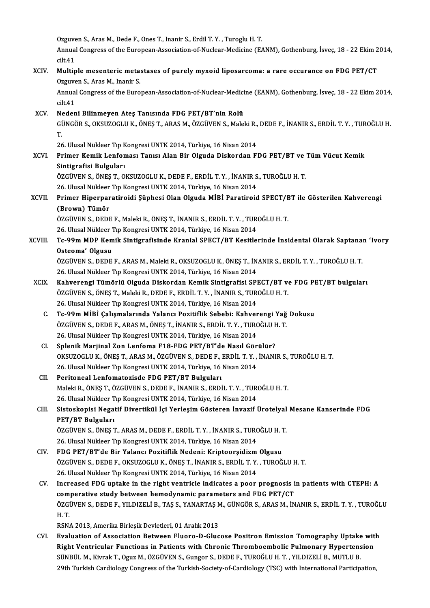Ozguven S., Aras M., Dede F., Ones T., Inanir S., Erdil T. Y., Turoglu H. T.

Ozguven S., Aras M., Dede F., Ones T., Inanir S., Erdil T. Y. , Turoglu H. T.<br>Annual Congress of the European-Association-of-Nuclear-Medicine (EANM), Gothenburg, İsveç, 18 - 22 Ekim 2014, Ozguve<br>Annua<br>cilt.41<br>Multin Annual Congress of the European-Association-of-Nuclear-Medicine (EANM), Gothenburg, İsveç, 18 - 22 Ekim 2<br>xCIV. Multiple mesenteric metastases of purely myxoid liposarcoma: a rare occurance on FDG PET/CT<br>Qrayyon S. Area M.

## cilt.41<br>Multiple mesenteric meta:<br>Ozguven S., Aras M., Inanir S.<br>Annual Congress of the Euro Multiple mesenteric metastases of purely myxoid liposarcoma: a rare occurance on FDG PET/CT<br>Ozguven S., Aras M., Inanir S.<br>Annual Congress of the European-Association-of-Nuclear-Medicine (EANM), Gothenburg, İsveç, 18 - 22

Ozguven S., Aras M., Inanir S.<br>Annual Congress of the European-Association-of-Nuclear-Medic<br>cilt.41<br>Nedeni Bilinmeyen Ates Tanısında FDG PET/BT'nin Rolü Annual Congress of the European-Association-of-Nuclear-Medicine (EANM), Gothenburg, İsveç, 18 - 22 Ekim 2014,<br>cilt.41<br>XCV. Nedeni Bilinmeyen Ates Tanısında FDG PET/BT'nin Rolü

cilt41<br>Nedeni Bilinmeyen Ateş Tanısında FDG PET/BT'nin Rolü<br>GÜNGÖR S., OKSUZOGLU K., ÖNEŞ T., ARAS M., ÖZGÜVEN S., Maleki R., DEDE F., İNANIR S., ERDİL T. Y. , TUROĞLU H.<br>T N<br>Gi<br>T. GÜNGÖR S., OKSUZOGLU K., ÖNEŞ T., ARAS M., ÖZGÜVEN S., Maleki R.,<br>T.<br>26. Ulusal Nükleer Tıp Kongresi UNTK 2014, Türkiye, 16 Nisan 2014<br>Primar Kamik Lanfaması Tanısı Alan Bir Olauda Diskardan El

26. Ulusal Nükleer Tıp Kongresi UNTK 2014, Türkiye, 16 Nisan 2014

# T.<br>26. Ulusal Nükleer Tıp Kongresi UNTK 2014, Türkiye, 16 Nisan 2014<br>XCVI. Primer Kemik Lenfoması Tanısı Alan Bir Olguda Diskordan FDG PET/BT ve Tüm Vücut Kemik<br>Sintigrafisi Bulguları Primer Kemik Lenfoması Tanısı Alan Bir Olguda Diskordan FDG PET/BT ve<br>Sintigrafisi Bulguları<br>ÖZGÜVEN S., ÖNEŞ T., OKSUZOGLU K., DEDE F., ERDİL T. Y. , İNANIR S., TUROĞLU H. T.<br>26 Huyet Nükleer Tr Kengresi UNTK 2014 Türkiye

Sintigrafisi Bulguları<br>ÖZGÜVEN S., ÖNEŞ T., OKSUZOGLU K., DEDE F., ERDİL T. Y. , İNANIR S<br>26. Ulusal Nükleer Tıp Kongresi UNTK 2014, Türkiye, 16 Nisan 2014<br>Priman Hinarnanatiraidi Sünbasi Olan Olauda MİRİ Paratiraid

## ÖZGÜVEN S., ÖNEŞ T., OKSUZOGLU K., DEDE F., ERDİL T. Y. , İNANIR S., TUROĞLU H. T.<br>26. Ulusal Nükleer Tıp Kongresi UNTK 2014, Türkiye, 16 Nisan 2014<br>XCVII. Primer Hiperparatiroidi Şüphesi Olan Olguda MİBİ Paratiroid SP 26. Ulusal Nükleer<br>Primer Hiperpar<br>(Brown) Tümör<br>Özcüvens oppe Primer Hiperparatiroidi Şüphesi Olan Olguda MİBİ Paratiroid SPECT/E<br>(Brown) Tümör<br>ÖZGÜVEN S., DEDE F., Maleki R., ÖNEŞ T., İNANIR S., ERDİL T.Y. , TUROĞLU H. T.<br>26 Hlugal Nüldeer Tıp Kongresi UNTK 2014 Türkiye 16 Nisar 201

(Brown) Tümör<br>ÖZGÜVEN S., DEDE F., Maleki R., ÖNEŞ T., İNANIR S., ERDİL T. Y. , TUR<br>26. Ulusal Nükleer Tıp Kongresi UNTK 2014, Türkiye, 16 Nisan 2014<br>Te 99m MDB Komik Sintigrefisinde Krapial SBEGT/BT Kesitle

## ÖZGÜVEN S., DEDE F., Maleki R., ÖNEŞ T., İNANIR S., ERDİL T. Y. , TUROĞLU H. T.<br>26. Ulusal Nükleer Tıp Kongresi UNTK 2014, Türkiye, 16 Nisan 2014<br>XCVIII. Tc-99m MDP Kemik Sintigrafisinde Kranial SPECT/BT Kesitlerinde İ 26. Ulusal Nükleer 7<br>Tc-99m MDP Kem<br>Osteoma' Olgusu<br>ÖZCÜVEN S. DEDE Tc-99m MDP Kemik Sintigrafisinde Kranial SPECT/BT Kesitlerinde İnsidental Olarak Saptana:<br>Osteoma' Olgusu<br>ÖZGÜVEN S., DEDE F., ARAS M., Maleki R., OKSUZOGLU K., ÖNEŞ T., İNANIR S., ERDİL T.Y. , TUROĞLU H. T.<br>26 Ulusal Nükl

Osteoma' Olgusu<br>ÖZGÜVEN S., DEDE F., ARAS M., Maleki R., OKSUZOGLU K., ÖNEŞ T., İNANIR S., ERDİL T. Y. , TUROĞLU H. T.<br>26. Ulusal Nükleer Tıp Kongresi UNTK 2014, Türkiye, 16 Nisan 2014 ÖZGÜVEN S., DEDE F., ARAS M., Maleki R., OKSUZOGLU K., ÖNEŞ T., İNANIR S., ERDİL T. Y. , TUROĞLU H. T.<br>26. Ulusal Nükleer Tıp Kongresi UNTK 2014, Türkiye, 16 Nisan 2014<br>XCIX. Kahverengi Tümörlü Olguda Diskordan Kemik Sinti

- 26. Ulusal Nükleer Tıp Kongresi UNTK 2014, Türkiye, 16 Nisan 2014<br>**Kahverengi Tümörlü Olguda Diskordan Kemik Sintigrafisi SPECT/BT v**o<br>ÖZGÜVEN S., ÖNEŞ T., Maleki R., DEDE F., ERDİL T. Y. , İNANIR S., TUROĞLU H. T.<br>26 Ulus Kahverengi Tümörlü Olguda Diskordan Kemik Sintigrafisi SPI<br>ÖZGÜVEN S., ÖNEŞ T., Maleki R., DEDE F., ERDİL T. Y. , İNANIR S., TUR<br>26. Ulusal Nükleer Tıp Kongresi UNTK 2014, Türkiye, 16 Nisan 2014<br>Te 99m MİPİ Celismalanında ÖZGÜVEN S., ÖNEŞ T., Maleki R., DEDE F., ERDİL T. Y. , İNANIR S., TUROĞLU H. T.<br>26. Ulusal Nükleer Tıp Kongresi UNTK 2014, Türkiye, 16 Nisan 2014<br>C. Tc-99m MİBİ Çalışmalarında Yalancı Pozitiflik Sebebi: Kahverengi Yağ
	- 26. Ulusal Nükleer Tıp Kongresi UNTK 2014, Türkiye, 16 Nisan 2014<br>Tc-99m MİBİ Çalışmalarında Yalancı Pozitiflik Sebebi: Kahverengi Yağ<br>ÖZGÜVEN S., DEDE F., ARAS M., ÖNEŞ T., İNANIR S., ERDİL T. Y. , TUROĞLU H. T.<br>26 Hlusal ÖZGÜVEN S., DEDE F., ARAS M., ÖNEŞ T., İNANIR S., ERDİL T. Y. , TUROĞLU H. T.<br>26. Ulusal Nükleer Tıp Kongresi UNTK 2014, Türkiye, 16 Nisan 2014
	- CI. SplenikMarjinal Zon Lenfoma F18-FDG PET/BT'de Nasıl Görülür? OKSUZOGLUK.,ÖNEŞT.,ARASM.,ÖZGÜVENS.,DEDEF.,ERDİL T.Y. , İNANIRS.,TUROĞLUH.T. 26. Ulusal Nükleer Tıp Kongresi UNTK 2014, Türkiye, 16 Nisan 2014
	- CII. Peritoneal Lenfomatozisde FDG PET/BT Bulguları MalekiR.,ÖNEŞT.,ÖZGÜVENS.,DEDEF., İNANIRS.,ERDİL T.Y. ,TUROĞLUH.T. Peritoneal Lenfomatozisde FDG PET/BT Bulguları<br>Maleki R., ÖNEŞ T., ÖZGÜVEN S., DEDE F., İNANIR S., ERDİL T. Y. , TUR<br>26. Ulusal Nükleer Tıp Kongresi UNTK 2014, Türkiye, 16 Nisan 2014<br>Sisteekenisi Negatif Diventikül İsi Yen

### CIII. Sistoskopisi Negatif Divertikül İçi Yerleşim Gösteren İnvazif Ürotelyal Mesane Kanserinde FDG<br>PET/BT Bulguları 26. Ulusal Nükleer T<br>Sistoskopisi Nega<br>PET/BT Bulguları<br>ÖZCÜVEN S. ÖNES 1 Sistoskopisi Negatif Divertikül İçi Yerleşim Gösteren İnvazif Ürotelyal<br>PET/BT Bulguları<br>ÖZGÜVEN S., ÖNEŞ T., ARAS M., DEDE F., ERDİL T.Y. , İNANIR S., TUROĞLU H. T.<br>26 Hlucal Nüldeer Tır Konsresi UNTK 2014, Türkiye 16 Nis PET/BT Bulguları<br>ÖZGÜVEN S., ÖNEŞ T., ARAS M., DEDE F., ERDİL T. Y. , İNANIR S., TURO<br>26. Ulusal Nükleer Tıp Kongresi UNTK 2014, Türkiye, 16 Nisan 2014<br>EDC PET/PT'de Pir Yalancı Pezitiflik Nadeni: Krinteersidizm

- ÖZGÜVEN S., ÖNEŞ T., ARAS M., DEDE F., ERDİL T. Y. , İNANIR S., TUROĞLU H. 1<br>26. Ulusal Nükleer Tıp Kongresi UNTK 2014, Türkiye, 16 Nisan 2014<br>CIV. FDG PET/BT'de Bir Yalancı Pozitiflik Nedeni: Kriptoorşidizm Olgusu<br>ÖZC 26. Ulusal Nükleer Tıp Kongresi UNTK 2014, Türkiye, 16 Nisan 2014<br>FDG PET/BT'de Bir Yalancı Pozitiflik Nedeni: Kriptoorşidizm Olgusu<br>ÖZGÜVEN S., DEDE F., OKSUZOGLU K., ÖNEŞ T., İNANIR S., ERDİL T.Y. , TUROĞLU H. T.<br>26 Hlus FDG PET/BT'de Bir Yalancı Pozitiflik Nedeni: Kriptoorşidizm<br>ÖZGÜVEN S., DEDE F., OKSUZOGLU K., ÖNEŞ T., İNANIR S., ERDİL T. Y.<br>26. Ulusal Nükleer Tıp Kongresi UNTK 2014, Türkiye, 16 Nisan 2014<br>Inaxessed EDC untaks in the r ÖZGÜVEN S., DEDE F., OKSUZOGLU K., ÖNEŞ T., İNANIR S., ERDİL T. Y. , TUROĞLU H. T.<br>26. Ulusal Nükleer Tıp Kongresi UNTK 2014, Türkiye, 16 Nisan 2014<br>CV. Increased FDG uptake in the right ventricle indicates a poor prognosi
- 26. Ulusal Nükleer Tıp Kongresi UNTK 2014, Türkiye, 16 Nisan 2014<br>Increased FDG uptake in the right ventricle indicates a poor prognosis i<br>comperative study between hemodynamic parameters and FDG PET/CT<br>ÖZCÜVEN S. DEDE E. Increased FDG uptake in the right ventricle indicates a poor prognosis in patients with CTEPH: A<br>comperative study between hemodynamic parameters and FDG PET/CT<br>ÖZGÜVEN S., DEDE F., YILDIZELİ B., TAŞ S., YANARTAŞ M., GÜNGÖ comperative study between hemodynamic parameters and FDG PET/CT ÖZGÜVEN S., DEDE F., YILDIZELİ B., TAŞ S., YANARTAŞ M., GÜNGÖR S., ARAS M., İN H. T.<br>H. T.<br>RSNA 2013, Amerika Birleşik Devletleri, 01 Aralık 2013 ÖZGÜVEN S., DEDE F., YILDIZELİ B., TAŞ S., YANARTAŞ M<br>H. T.<br>RSNA 2013, Amerika Birleşik Devletleri, 01 Aralık 2013<br>Evaluation of Assosiation Batwaan Eluana D. Glue

H. T.<br>RSNA 2013, Amerika Birleşik Devletleri, 01 Aralık 2013<br>CVI. Bratuation of Association Between Fluoro-D-Glucose Positron Emission Tomography Uptake with<br>Right Ventrieular Eunstians in Betients with Chronis Thromboembo RSNA 2013, Amerika Birleşik Devletleri, 01 Aralık 2013<br>Evaluation of Association Between Fluoro-D-Glucose Positron Emission Tomography Uptake wit<br>Right Ventricular Functions in Patients with Chronic Thromboembolic Pulmonar Evaluation of Association Between Fluoro-D-Glucose Positron Emission Tomography Uptake<br>Right Ventricular Functions in Patients with Chronic Thromboembolic Pulmonary Hypertens<br>SÜNBÜL M., Kivrak T., Oguz M., ÖZGÜVEN S., Gung Right Ventricular Functions in Patients with Chronic Thromboembolic Pulmonary Hypertension<br>SÜNBÜL M., Kivrak T., Oguz M., ÖZGÜVEN S., Gungor S., DEDE F., TUROĞLU H. T. , YILDIZELİ B., MUTLU B.<br>29th Turkish Cardiology Congr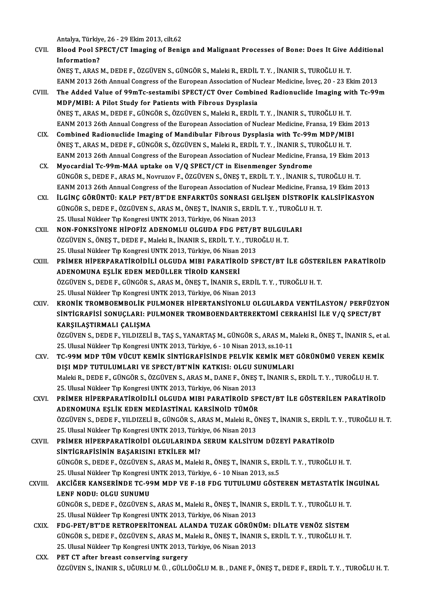Antalya,Türkiye,26 -29Ekim2013, cilt.62

- Antalya, Türkiye, 26 29 Ekim 2013, cilt.62<br>CVII. Blood Pool SPECT/CT Imaging of Benign and Malignant Processes of Bone: Does It Give Additional Antalya, Türkiy<br>Blood Pool SI<br>Information?<br>ÖNES T. ARAS Blood Pool SPECT/CT Imaging of Benign and Malignant Processes of Bone: Does It Give A<br>Information?<br>ÖNEŞ T., ARAS M., DEDE F., ÖZGÜVEN S., GÜNGÖR S., Maleki R., ERDİL T. Y. , İNANIR S., TUROĞLU H. T.<br>FANM 2012 26th Annual C Information?<br>ÖNEŞ T., ARAS M., DEDE F., ÖZGÜVEN S., GÜNGÖR S., Maleki R., ERDİL T. Y. , İNANIR S., TUROĞLU H. T.<br>EANM 2013 26th Annual Congress of the European Association of Nuclear Medicine, İsveç, 20 - 23 Ekim 2013
- ÖNEŞ T., ARAS M., DEDE F., ÖZGÜVEN S., GÜNGÖR S., Maleki R., ERDİL T. Y. , İNANIR S., TUROĞLU H. T.<br>EANM 2013 26th Annual Congress of the European Association of Nuclear Medicine, İsveç, 20 23 Ekim 2013<br>CVIII. The Added
- EANM 2013 26th Annual Congress of the European Association of Nu<br>The Added Value of 99mTc-sestamibi SPECT/CT Over Combin<br>MDP/MIBI: A Pilot Study for Patients with Fibrous Dysplasia<br>ÖNES T. ARAS M. DEDE E. CÜNCÖR S. ÖZCÜVEN The Added Value of 99mTc-sestamibi SPECT/CT Over Combined Radionuclide Imaging wi<br>MDP/MIBI: A Pilot Study for Patients with Fibrous Dysplasia<br>ÖNEŞ T., ARAS M., DEDE F., GÜNGÖR S., ÖZGÜVEN S., Maleki R., ERDİL T.Y. , İNANIR MDP/MIBI: A Pilot Study for Patients with Fibrous Dysplasia<br>ÖNEŞ T., ARAS M., DEDE F., GÜNGÖR S., ÖZGÜVEN S., Maleki R., ERDİL T. Y. , İNANIR S., TUROĞLU H. T.<br>EANM 2013 26th Annual Congress of the European Association of ÖNEŞ T., ARAS M., DEDE F., GÜNGÖR S., ÖZGÜVEN S., Maleki R., ERDİL T. Y. , İNANIR S., TUROĞLU H. T.<br>EANM 2013 26th Annual Congress of the European Association of Nuclear Medicine, Fransa, 19 Ekim<br>CIX. Combined Radionuclide
- EANM 2013 26th Annual Congress of the European Association of Nuclear Medicine, Fransa, 19 Ekim<br>Combined Radionuclide Imaging of Mandibular Fibrous Dysplasia with Tc-99m MDP/MIB<br>ÖNEŞ T., ARAS M., DEDE F., GÜNGÖR S., ÖZGÜVE Combined Radionuclide Imaging of Mandibular Fibrous Dysplasia with Tc-99m MDP/MIBI<br>ÖNEŞ T., ARAS M., DEDE F., GÜNGÖR S., ÖZGÜVEN S., Maleki R., ERDİL T. Y. , İNANIR S., TUROĞLU H. T.<br>EANM 2013 26th Annual Congress of the E ÖNEŞ T., ARAS M., DEDE F., GÜNGÖR S., ÖZGÜVEN S., Maleki R., ERDİL T. Y. , İNANIR S., TUROĞLU H. T.<br>EANM 2013 26th Annual Congress of the European Association of Nuclear Medicine, Fransa, 19 Ekim 2013<br>CX. Myocardial Tc
- GÜNGÖRS.,DEDEF.,ARASM.,NovruzovF.,ÖZGÜVENS.,ÖNEŞT.,ERDİL T.Y. , İNANIRS.,TUROĞLUH.T. Myocardial Tc-99m-MAA uptake on V/Q SPECT/CT in Eisenmenger Syndrome<br>GÜNGÖR S., DEDE F., ARAS M., Novruzov F., ÖZGÜVEN S., ÖNEŞ T., ERDİL T. Y. , İNANIR S., TUROĞLU H. T.<br>EANM 2013 26th Annual Congress of the European Asso GÜNGÖR S., DEDE F., ARAS M., Novruzov F., ÖZGÜVEN S., ÖNEŞ T., ERDİL T. Y. , İNANIR S., TUROĞLU H. T.<br>EANM 2013 26th Annual Congress of the European Association of Nuclear Medicine, Fransa, 19 Ekim 2013<br>CXI. ILGİNÇ GÖRÜNTÜ
- EANM 2013 26th Annual Congress of the European Association of Nuclear Medicine, Frans<br>**ilging Görüntü: KALP PET/BT'DE ENFARKTÜS SONRASI GELIŞEN DISTROFIK I**<br>GÜNGÖR S., DEDE F., ÖZGÜVEN S., ARAS M., ÖNEŞ T., İNANIR S., ERDİ ILGINÇ GÖRÜNTÜ: KALP PET/BT'DE ENFARKTÜS SONRASI GELIŞEN DISTROFIK KALSIFIKASYON<br>GÜNGÖR S., DEDE F., ÖZGÜVEN S., ARAS M., ÖNEŞ T., İNANIR S., ERDİL T. Y. , TUROĞLU H. T.<br>25. Ulusal Nükleer Tıp Kongresi UNTK 2013, Türkiye,
- CXII. NON-FONKSİYONE HİPOFİZ ADENOMLU OLGUDA FDG PET/BT BULGULARI 25. Ulusal Nükleer Tıp Kongresi UNTK 2013, Türkiye, 06 Nisan 2013<br>NON-FONKSIYONE HIPOFIZ ADENOMLU OLGUDA FDG PET/BT BULGUL<br>ÖZGÜVEN S., ÖNEŞ T., DEDE F., Maleki R., İNANIR S., ERDİL T.Y. , TUROĞLU H. T.<br>25. Ulusal Nükleer T NON-FONKSİYONE HİPOFİZ ADENOMLU OLGUDA FDG PET/B'<br>ÖZGÜVEN S., ÖNEŞ T., DEDE F., Maleki R., İNANIR S., ERDİL T. Y. , TUR<br>25. Ulusal Nükleer Tıp Kongresi UNTK 2013, Türkiye, 06 Nisan 2013<br>PRİMER HİPERRARATİROİDILL OLGUDA MIR
- 25. Ulusal Nükleer Tıp Kongresi UNTK 2013, Türkiye, 06 Nisan 2013<br>CXIII. PRİMER HİPERPARATİROİDİLİ OLGUDA MIBI PARATİROİD SPECT/BT İLE GÖSTERİLEN PARATİROİD ADENOMUNA EŞLİK EDEN MEDÜLLER TİROİD KANSERİ PRİMER HİPERPARATİROİDİLİ OLGUDA MIBI PARATİROİD SPECT/BT İLE GÖSTEI<br>ADENOMUNA EŞLİK EDEN MEDÜLLER TİROİD KANSERİ<br>ÖZGÜVEN S., DEDE F., GÜNGÖR S., ARAS M., ÖNEŞ T., İNANIR S., ERDİL T. Y. , TUROĞLU H. T.<br>25. Ulucal Nüklaar ADENOMUNA EŞLİK EDEN MEDÜLLER TİROİD KANSERİ<br>ÖZGÜVEN S., DEDE F., GÜNGÖR S., ARAS M., ÖNEŞ T., İNANIR S., ERDİI<br>25. Ulusal Nükleer Tıp Kongresi UNTK 2013, Türkiye, 06 Nisan 2013<br>KRONİK TROMBOEMBOL İK BILLMONER HİRERTANSİYO ÖZGÜVEN S., DEDE F., GÜNGÖR S., ARAS M., ÖNEŞ T., İNANIR S., ERDİL T. Y. , TUROĞLU H. T.<br>25. Ulusal Nükleer Tıp Kongresi UNTK 2013, Türkiye, 06 Nisan 2013<br>CXIV. KRONİK TROMBOEMBOLİK PULMONER HİPERTANSİYONLU OLGULARDA VENTİ
- 25. Ulusal Nükleer Tıp Kongresi UNTK 2013, Türkiye, 06 Nisan 2013<br>KRONİK TROMBOEMBOLİK PULMONER HİPERTANSİYONLU OLGULARDA VENTİLASYON/ PERFÜZYC<br>SİNTİGRAFİSİ SONUÇLARI: PULMONER TROMBOENDARTEREKTOMİ CERRAHİSİ İLE V/Q SPECT/ KRONİK TROMBOEMBOLİK PI<br>SİNTİGRAFİSİ SONUÇLARI: PI<br>KARŞILAŞTIRMALI ÇALIŞMA<br>ÖZCÜVEN S. DEDE E. VILDIZELİ SİNTİGRAFİSİ SONUÇLARI: PULMONER TROMBOENDARTEREKTOMİ CERRAHİSİ İLE V/Q SPECT/BT<br>KARŞILAŞTIRMALI ÇALIŞMA<br>ÖZGÜVEN S., DEDE F., YILDIZELİ B., TAŞ S., YANARTAŞ M., GÜNGÖR S., ARAS M., Maleki R., ÖNEŞ T., İNANIR S., et al.<br>25.

KARŞILAŞTIRMALI ÇALIŞMA<br>ÖZGÜVEN S., DEDE F., YILDIZELİ B., TAŞ S., YANARTAŞ M., GÜNGÖR S., ARAS M., M<br>25. Ulusal Nükleer Tıp Kongresi UNTK 2013, Türkiye, 6 - 10 Nisan 2013, ss.10-11<br>TC 99M MDB TÜM VÜCUT KEMİK SİNTİCBAFİSİN ÖZGÜVEN S., DEDE F., YILDIZELİ B., TAŞ S., YANARTAŞ M., GÜNGÖR S., ARAS M., Maleki R., ÖNEŞ T., İNANIR S., et a<br>25. Ulusal Nükleer Tıp Kongresi UNTK 2013, Türkiye, 6 - 10 Nisan 2013, ss.10-11<br>CXV. TC-99M MDP TÜM VÜCUT

- 25. Ulusal Nükleer Tıp Kongresi UNTK 2013, Türkiye, 6 10 Nisan 2013, ss.10-11<br>TC-99M MDP TÜM VÜCUT KEMİK SİNTİGRAFİSİNDE PELVİK KEMİK MET<br>DIŞI MDP TUTULUMLARI VE SPECT/BT'NİN KATKISI: OLGU SUNUMLARI<br>Malaki B. DEDE E. CÜN TC-99M MDP TÜM VÜCUT KEMIK SINTIGRAFISINDE PELVIK KEMIK MET GÖRÜNÜMÜ VEREN KEMIK<br>DIŞI MDP TUTULUMLARI VE SPECT/BT'NIN KATKISI: OLGU SUNUMLARI<br>Maleki R., DEDE F., GÜNGÖR S., ÖZGÜVEN S., ARAS M., DANE F., ÖNEŞ T., İNANIR S., DIŞI MDP TUTULUMLARI VE SPECT/BT'NİN KATKISI: OLGU S<br>Maleki R., DEDE F., GÜNGÖR S., ÖZGÜVEN S., ARAS M., DANE F., ÖNEŞ<br>25. Ulusal Nükleer Tıp Kongresi UNTK 2013, Türkiye, 06 Nisan 2013<br>PRİMER HİRERRARATİRQİDİLİ OLGUDA MIRL Maleki R., DEDE F., GÜNGÖR S., ÖZGÜVEN S., ARAS M., DANE F., ÖNEŞ T., İNANIR S., ERDİL T. Y. , TUROĞLU H. T.<br>25. Ulusal Nükleer Tıp Kongresi UNTK 2013, Türkiye, 06 Nisan 2013<br>20 ADENOMUNA ESLİK EDEN MEDİASTİNAL KARSİNQİD T
- 25. Ulusal Nükleer Tıp Kongresi UNTK 2013, Türkiye, 06 Nisan 2013<br>PRİMER HİPERPARATİROİDİLİ OLGUDA MIBI PARATİROİD SPI<br>ADENOMUNA EŞLİK EDEN MEDİASTİNAL KARSİNOİD TÜMÖR<br>ÖZCÜVEN S. DEDE E. YU DIZELLE CÜNCÖR S. ARASM. Malaki PRİMER HİPERPARATİROİDİLİ OLGUDA MIBI PARATİROİD SPECT/BT İLE GÖSTERİLEN PARATİROİD<br>ADENOMUNA EŞLİK EDEN MEDİASTİNAL KARSİNOİD TÜMÖR<br>ÖZGÜVEN S., DEDE F., YILDIZELİ B., GÜNGÖR S., ARAS M., Maleki R., ÖNEŞ T., İNANIR S., ERD ADENOMUNA EŞLİK EDEN MEDİASTİNAL KARSİNOİD TÜMÖR<br>ÖZGÜVEN S., DEDE F., YILDIZELİ B., GÜNGÖR S., ARAS M., Maleki R., Ö<br>25. Ulusal Nükleer Tıp Kongresi UNTK 2013, Türkiye, 06 Nisan 2013<br>PRİMER HİRERRARATİROİDİ OLGULARINDA SER ÖZGÜVEN S., DEDE F., YILDIZELİ B., GÜNGÖR S., ARAS M., Maleki R., ÖNEŞ T., İNANIR S., ERDİL T. Y. , TUROĞLU H. T.<br>25. Ulusal Nükleer Tıp Kongresi UNTK 2013, Türkiye, 06 Nisan 2013<br>CXVII. PRİMER HİPERPARATİROİDİ OLGULAR

25. Ulusal Nükleer Tıp Kongresi UNTK 2013, Türk<br>PRİMER HİPERPARATİROİDİ OLGULARINDA<br>SİNTİGRAFİSİNİN BAŞARISINI ETKİLER Mİ?<br>CÜNCÖR S. DEDE E. ÖZCÜVEN S. ARAS M. Malak PRİMER HİPERPARATİROİDİ OLGULARINDA SERUM KALSİYUM DÜZEYİ PARATİROİD<br>SİNTİGRAFİSİNİN BAŞARISINI ETKİLER Mİ?<br>GÜNGÖR S., DEDE F., ÖZGÜVEN S., ARAS M., Maleki R., ÖNEŞ T., İNANIR S., ERDİL T. Y. , TUROĞLU H. T.<br>25. Ulucal Nük SİNTİGRAFİSİNİN BAŞARISINI ETKİLER Mİ?<br>GÜNGÖR S., DEDE F., ÖZGÜVEN S., ARAS M., Maleki R., ÖNEŞ T., İNANIR S., ERI<br>25. Ulusal Nükleer Tıp Kongresi UNTK 2013, Türkiye, 6 - 10 Nisan 2013, ss.5<br>AKÇİĞER KANSERİNDE TC QQM MDR V GÜNGÖR S., DEDE F., ÖZGÜVEN S., ARAS M., Maleki R., ÖNEŞ T., İNANIR S., ERDİL T. Y. , TUROĞLU H. T.<br>25. Ulusal Nükleer Tıp Kongresi UNTK 2013, Türkiye, 6 - 10 Nisan 2013, ss.5<br>CXVIII. AKCİĞER KANSERİNDE TC-99M MDP VE F

## 25. Ulusal Nükleer Tıp Kongresi<br>AKCİĞER KANSERİNDE TC-99<br>LENF NODU: OLGU SUNUMU<br>CÜNCÖR S. DEDE E. ÖZCÜNEN S AKCİĞER KANSERİNDE TC-99M MDP VE F-18 FDG TUTULUMU GÖSTEREN METASTATİK İN<br>LENF NODU: OLGU SUNUMU<br>GÜNGÖR S., DEDE F., ÖZGÜVEN S., ARAS M., Maleki R., ÖNEŞ T., İNANIR S., ERDİL T. Y. , TUROĞLU H. T.<br>25 Ulucal Nükleer Tr Kerg

LENF NODU: OLGU SUNUMU<br>GÜNGÖR S., DEDE F., ÖZGÜVEN S., ARAS M., Maleki R., ÖNEŞ T., İNANIR S., ERDİL T. Y. , TUROĞLU H. T.<br>25. Ulusal Nükleer Tıp Kongresi UNTK 2013, Türkiye, 06 Nisan 2013 GÜNGÖR S., DEDE F., ÖZGÜVEN S., ARAS M., Maleki R., ÖNEŞ T., İNANIR S., ERDİL T. Y. , TUROĞLU H. T.<br>25. Ulusal Nükleer Tıp Kongresi UNTK 2013, Türkiye, 06 Nisan 2013<br>CXIX. FDG-PET/BT'DE RETROPERİTONEAL ALANDA TUZAK GÖR

- 25. Ulusal Nükleer Tıp Kongresi UNTK 2013, Türkiye, 06 Nisan 2013<br>FDG-PET/BT'DE RETROPERİTONEAL ALANDA TUZAK GÖRÜNÜM: DİLATE VENÖZ SİSTEM<br>GÜNGÖR S., DEDE F., ÖZGÜVEN S., ARAS M., Maleki R., ÖNEŞ T., İNANIR S., ERDİL T.Y. , FDG-PET/BT'DE RETROPERİTONEAL ALANDA TUZAK GÖRÜN<br>GÜNGÖR S., DEDE F., ÖZGÜVEN S., ARAS M., Maleki R., ÖNEŞ T., İNANI<br>25. Ulusal Nükleer Tıp Kongresi UNTK 2013, Türkiye, 06 Nisan 2013<br>PET CT efter breest senserwing surgerw GÜNGÖR S., DEDE F., ÖZGÜVEN S., ARAS M., Maleki R., ÖNEŞ T., İNANIR S., ERDİL T. Y. , TUROĞLU H. T.<br>25. Ulusal Nükleer Tıp Kongresi UNTK 2013, Türkiye, 06 Nisan 2013<br>CXX. PET CT after breast conserving surgery
- ÖZGÜVENS., İNANIRS.,UĞURLUM.Ü. ,GÜLLÜOĞLUM.B. ,DANEF.,ÖNEŞT.,DEDEF.,ERDİL T.Y. ,TUROĞLUH.T.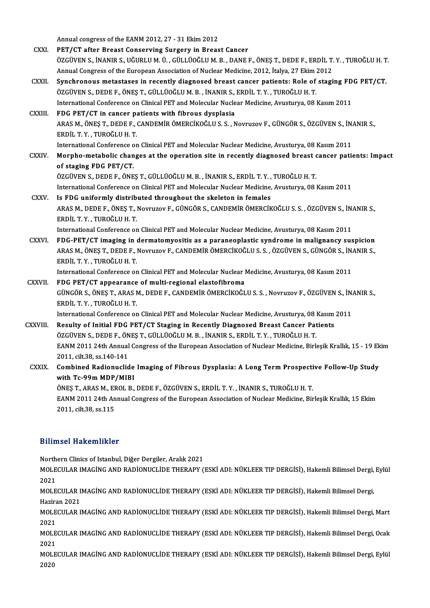Annual congress of the EANM 2012, 27 - 31 Ekim 2012<br>PET/CT ofter Preest Conserving Surgery in Prees

|                | Annual congress of the EANM 2012, 27 - 31 Ekim 2012                                                                                                                                      |
|----------------|------------------------------------------------------------------------------------------------------------------------------------------------------------------------------------------|
| <b>CXXI</b>    | PET/CT after Breast Conserving Surgery in Breast Cancer                                                                                                                                  |
|                | ÖZGÜVEN S., İNANIR S., UĞURLU M. Ü. , GÜLLÜOĞLU M. B. , DANE F., ÖNEŞ T., DEDE F., ERDİL T. Y. , TUROĞLU H. T.                                                                           |
|                | Annual Congress of the European Association of Nuclear Medicine, 2012, İtalya, 27 Ekim 2012                                                                                              |
| CXXII.         | Synchronous metastases in recently diagnosed breast cancer patients: Role of staging FDG PET/CT.<br>ÖZGÜVEN S., DEDE F., ÖNEŞ T., GÜLLÜOĞLU M. B., İNANIR S., ERDİL T. Y., TUROĞLU H. T. |
|                | International Conference on Clinical PET and Molecular Nuclear Medicine, Avusturya, 08 Kasım 2011                                                                                        |
| CXXIII.        | FDG PET/CT in cancer patients with fibrous dysplasia                                                                                                                                     |
|                | ARAS M., ÖNEŞ T., DEDE F., CANDEMİR ÖMERCİKOĞLU S. S., Novruzov F., GÜNGÖR S., ÖZGÜVEN S., İNANIR S.,<br>ERDİL T Y , TUROĞLU H T                                                         |
|                | International Conference on Clinical PET and Molecular Nuclear Medicine, Avusturya, 08 Kasım 2011                                                                                        |
| <b>CXXIV</b>   | Morpho-metabolic changes at the operation site in recently diagnosed breast cancer patients: Impact                                                                                      |
|                | of staging FDG PET/CT.                                                                                                                                                                   |
|                | ÖZGÜVEN S., DEDE F., ÖNEŞ T., GÜLLÜOĞLU M. B. , İNANIR S., ERDİL T. Y. , TUROĞLU H. T.                                                                                                   |
|                | International Conference on Clinical PET and Molecular Nuclear Medicine, Avusturya, 08 Kasım 2011                                                                                        |
| CXXV.          | Is FDG uniformly distributed throughout the skeleton in females                                                                                                                          |
|                | ARAS M., DEDE F., ÖNEŞ T., Novruzov F., GÜNGÖR S., CANDEMİR ÖMERCİKOĞLU S. S. , ÖZGÜVEN S., İNANIR S.,<br>ERDİL T.Y., TUROĞLU H.T.                                                       |
|                | International Conference on Clinical PET and Molecular Nuclear Medicine, Avusturya, 08 Kasım 2011                                                                                        |
| CXXVI.         | FDG-PET/CT imaging in dermatomyositis as a paraneoplastic syndrome in malignancy suspicion                                                                                               |
|                | ARAS M., ÖNEŞ T., DEDE F., Novruzov F., CANDEMİR ÖMERCİKOĞLU S. S. , ÖZGÜVEN S., GÜNGÖR S., İNANIR S.,                                                                                   |
|                | ERDİL T.Y., TUROĞLU H.T.                                                                                                                                                                 |
|                | International Conference on Clinical PET and Molecular Nuclear Medicine, Avusturya, 08 Kasım 2011                                                                                        |
| <b>CXXVII</b>  | FDG PET/CT appearance of multi-regional elastofibroma                                                                                                                                    |
|                | GÜNGÖR S., ÖNEŞ T., ARAS M., DEDE F., CANDEMİR ÖMERCİKOĞLU S. S., Novruzov F., ÖZGÜVEN S., İNANIR S.,                                                                                    |
|                | ERDİL T.Y., TUROĞLU H.T.                                                                                                                                                                 |
|                | International Conference on Clinical PET and Molecular Nuclear Medicine, Avusturya, 08 Kasım 2011                                                                                        |
| <b>CXXVIII</b> | Resulty of Initial FDG PET/CT Staging in Recently Diagnosed Breast Cancer Patients                                                                                                       |
|                | ÖZGÜVEN S., DEDE F., ÖNEŞ T., GÜLLÜOĞLU M. B., İNANIR S., ERDİL T. Y., TUROĞLU H. T.                                                                                                     |
|                | EANM 2011 24th Annual Congress of the European Association of Nuclear Medicine, Birleşik Krallık, 15 - 19 Ekim                                                                           |
|                | 2011, cilt 38, ss 140-141                                                                                                                                                                |
| <b>CXXIX</b>   | Combined Radionuclide Imaging of Fibrous Dysplasia: A Long Term Prospective Follow-Up Study<br>with Tc-99m MDP/MIBI                                                                      |
|                | ÖNES T., ARAS M., EROL B., DEDE F., ÖZGÜVEN S., ERDİL T. Y., İNANIR S., TUROĞLU H. T.                                                                                                    |
|                | EANM 2011 24th Annual Congress of the European Association of Nuclear Medicine, Birleşik Krallık, 15 Ekim                                                                                |
|                | 2011, cilt 38, ss 115                                                                                                                                                                    |
|                |                                                                                                                                                                                          |
|                | <b>Bilimsel Hakemlikler</b>                                                                                                                                                              |
|                |                                                                                                                                                                                          |
|                | Northern Clinics of Istanbul, Diğer Dergiler, Aralık 2021                                                                                                                                |
|                | MOLECULAR IMAGİNG AND RADİONUCLİDE THERAPY (ESKİ ADI: NÜKLEER TIP DERGİSİ), Hakemli Bilimsel Dergi, Eylül<br>2021                                                                        |
|                | MOLECULAR IMAGING AND RADIONUCLIDE THERAPY (ESKI ADI: NÜKLEER TIP DERGISI), Hakemli Bilimsel Dergi,                                                                                      |

Haziran 2021

MOLECULAR IMAGİNG AND RADİONUCLİDE THERAPY (ESKİ ADI: NÜKLEER TIP DERGİSİ), Hakemli Bilimsel Dergi,<br>Haziran 2021<br>MOLECULAR IMAGİNG AND RADİONUCLİDE THERAPY (ESKİ ADI: NÜKLEER TIP DERGİSİ), Hakemli Bilimsel Dergi, Mart<br>2021 Hazira<br>MOLE<br>2021<br>MOLE MOLECULAR IMAGİNG AND RADİONUCLİDE THERAPY (ESKİ ADI: NÜKLEER TIP DERGİSİ), Hakemli Bilimsel Dergi, Mart<br>2021<br>MOLECULAR IMAGİNG AND RADİONUCLİDE THERAPY (ESKİ ADI: NÜKLEER TIP DERGİSİ), Hakemli Bilimsel Dergi, Ocak<br>2021

2021<br>MOLE<br>2021<br>MOLE MOLECULAR IMAGİNG AND RADİONUCLİDE THERAPY (ESKİ ADI: NÜKLEER TIP DERGİSİ), Hakemli Bilimsel Dergi, Ocak<br>2021<br>MOLECULAR IMAGİNG AND RADİONUCLİDE THERAPY (ESKİ ADI: NÜKLEER TIP DERGİSİ), Hakemli Bilimsel Dergi, Eylül<br>2020

2021<br>MOLECULAR IMAGİNG AND RADİONUCLİDE THERAPY (ESKİ ADI: NÜKLEER TIP DERGİSİ), Hakemli Bilimsel Dergi, Eylül<br>2020